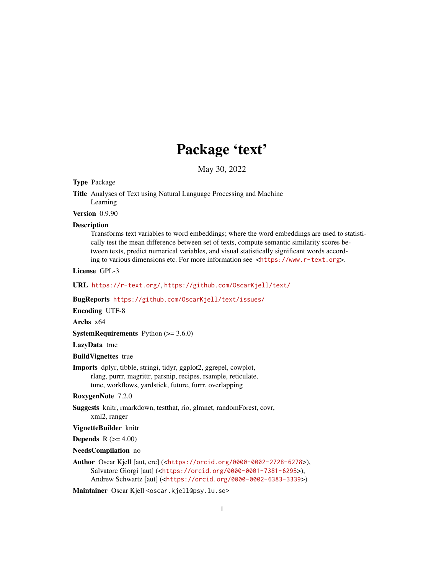## Package 'text'

May 30, 2022

Type Package

Title Analyses of Text using Natural Language Processing and Machine Learning

Version 0.9.90

#### **Description**

Transforms text variables to word embeddings; where the word embeddings are used to statistically test the mean difference between set of texts, compute semantic similarity scores between texts, predict numerical variables, and visual statistically significant words according to various dimensions etc. For more information see <<https://www.r-text.org>>.

License GPL-3

URL <https://r-text.org/>, <https://github.com/OscarKjell/text/>

BugReports <https://github.com/OscarKjell/text/issues/>

Encoding UTF-8

Archs x64

**SystemRequirements** Python  $(>= 3.6.0)$ 

LazyData true

BuildVignettes true

Imports dplyr, tibble, stringi, tidyr, ggplot2, ggrepel, cowplot, rlang, purrr, magrittr, parsnip, recipes, rsample, reticulate, tune, workflows, yardstick, future, furrr, overlapping

RoxygenNote 7.2.0

Suggests knitr, rmarkdown, testthat, rio, glmnet, randomForest, covr, xml2, ranger

VignetteBuilder knitr

**Depends** R  $(>= 4.00)$ 

### NeedsCompilation no

Author Oscar Kjell [aut, cre] (<<https://orcid.org/0000-0002-2728-6278>>), Salvatore Giorgi [aut] (<<https://orcid.org/0000-0001-7381-6295>>), Andrew Schwartz [aut] (<<https://orcid.org/0000-0002-6383-3339>>)

Maintainer Oscar Kjell <oscar.kjell@psy.lu.se>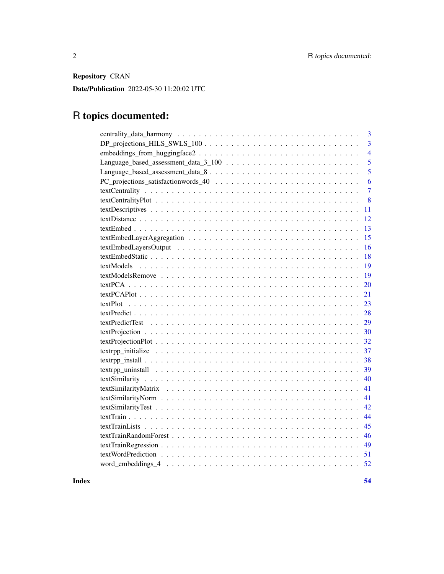Repository CRAN

Date/Publication 2022-05-30 11:20:02 UTC

# R topics documented:

| 3                                                                                                                                                                                                                             |
|-------------------------------------------------------------------------------------------------------------------------------------------------------------------------------------------------------------------------------|
| $\overline{\mathbf{3}}$                                                                                                                                                                                                       |
| $\overline{4}$                                                                                                                                                                                                                |
| 5                                                                                                                                                                                                                             |
| 5                                                                                                                                                                                                                             |
| 6                                                                                                                                                                                                                             |
| $\overline{7}$                                                                                                                                                                                                                |
| 8                                                                                                                                                                                                                             |
| 11                                                                                                                                                                                                                            |
| 12                                                                                                                                                                                                                            |
| 13                                                                                                                                                                                                                            |
| 15                                                                                                                                                                                                                            |
| 16                                                                                                                                                                                                                            |
| 18                                                                                                                                                                                                                            |
| 19                                                                                                                                                                                                                            |
| 19                                                                                                                                                                                                                            |
| 20                                                                                                                                                                                                                            |
| 21                                                                                                                                                                                                                            |
| 23                                                                                                                                                                                                                            |
| 28                                                                                                                                                                                                                            |
| 29                                                                                                                                                                                                                            |
| 30                                                                                                                                                                                                                            |
| 32                                                                                                                                                                                                                            |
| 37                                                                                                                                                                                                                            |
| 38                                                                                                                                                                                                                            |
| 39                                                                                                                                                                                                                            |
| 40                                                                                                                                                                                                                            |
| 41                                                                                                                                                                                                                            |
| 41                                                                                                                                                                                                                            |
| 42                                                                                                                                                                                                                            |
| 44                                                                                                                                                                                                                            |
| 45                                                                                                                                                                                                                            |
| 46                                                                                                                                                                                                                            |
| 49                                                                                                                                                                                                                            |
|                                                                                                                                                                                                                               |
| word_embeddings_4 \cdot \cdot \cdot \cdot \cdot \cdot \cdot \cdot \cdot \cdot \cdot \cdot \cdot \cdot \cdot \cdot \cdot \cdot \cdot \cdot \cdot \cdot \cdot \cdot \cdot \cdot \cdot \cdot \cdot \cdot \cdot \cdot \cdot \cdot |

**Index** [54](#page-53-0)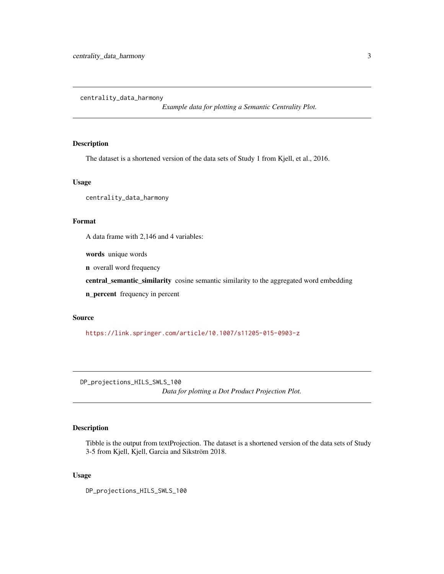<span id="page-2-0"></span>centrality\_data\_harmony

*Example data for plotting a Semantic Centrality Plot.*

### Description

The dataset is a shortened version of the data sets of Study 1 from Kjell, et al., 2016.

#### Usage

centrality\_data\_harmony

#### Format

A data frame with 2,146 and 4 variables:

words unique words

n overall word frequency

central\_semantic\_similarity cosine semantic similarity to the aggregated word embedding

n\_percent frequency in percent

#### Source

<https://link.springer.com/article/10.1007/s11205-015-0903-z>

DP\_projections\_HILS\_SWLS\_100 *Data for plotting a Dot Product Projection Plot.*

#### Description

Tibble is the output from textProjection. The dataset is a shortened version of the data sets of Study 3-5 from Kjell, Kjell, Garcia and Sikström 2018.

#### Usage

DP\_projections\_HILS\_SWLS\_100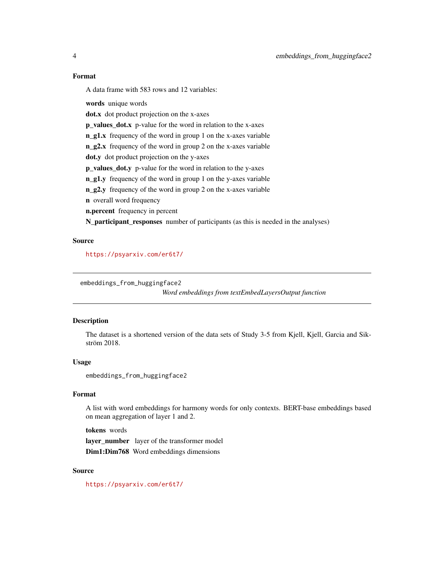#### <span id="page-3-0"></span>Format

A data frame with 583 rows and 12 variables:

words unique words

dot.x dot product projection on the x-axes

p\_values\_dot.x p-value for the word in relation to the x-axes

n\_g1.x frequency of the word in group 1 on the x-axes variable

n\_g2.x frequency of the word in group 2 on the x-axes variable

dot.y dot product projection on the y-axes

p\_values\_dot.y p-value for the word in relation to the y-axes

n\_g1.y frequency of the word in group 1 on the y-axes variable

n\_g2.y frequency of the word in group 2 on the x-axes variable

n overall word frequency

n.percent frequency in percent

N\_participant\_responses number of participants (as this is needed in the analyses)

#### Source

<https://psyarxiv.com/er6t7/>

embeddings\_from\_huggingface2

*Word embeddings from textEmbedLayersOutput function*

#### Description

The dataset is a shortened version of the data sets of Study 3-5 from Kjell, Kjell, Garcia and Sikström 2018.

#### Usage

embeddings\_from\_huggingface2

#### Format

A list with word embeddings for harmony words for only contexts. BERT-base embeddings based on mean aggregation of layer 1 and 2.

tokens words

layer\_number layer of the transformer model Dim1:Dim768 Word embeddings dimensions

#### Source

<https://psyarxiv.com/er6t7/>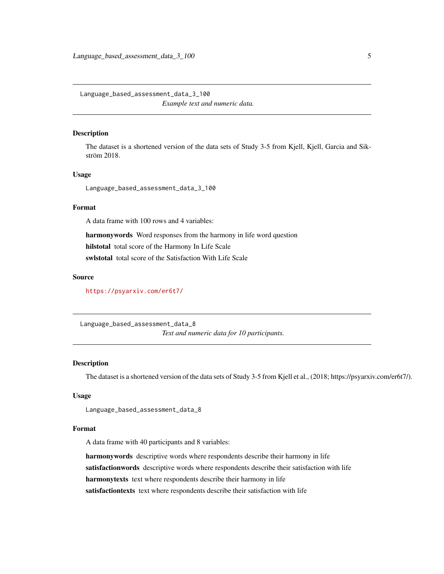<span id="page-4-0"></span>Language\_based\_assessment\_data\_3\_100 *Example text and numeric data.*

#### Description

The dataset is a shortened version of the data sets of Study 3-5 from Kjell, Kjell, Garcia and Sikström 2018.

### Usage

Language\_based\_assessment\_data\_3\_100

### Format

A data frame with 100 rows and 4 variables:

harmonywords Word responses from the harmony in life word question hilstotal total score of the Harmony In Life Scale swlstotal total score of the Satisfaction With Life Scale

#### Source

<https://psyarxiv.com/er6t7/>

Language\_based\_assessment\_data\_8 *Text and numeric data for 10 participants.*

#### Description

The dataset is a shortened version of the data sets of Study 3-5 from Kjell et al., (2018; https://psyarxiv.com/er6t7/).

#### Usage

Language\_based\_assessment\_data\_8

#### Format

A data frame with 40 participants and 8 variables:

harmonywords descriptive words where respondents describe their harmony in life satisfactionwords descriptive words where respondents describe their satisfaction with life harmonytexts text where respondents describe their harmony in life satisfactiontexts text where respondents describe their satisfaction with life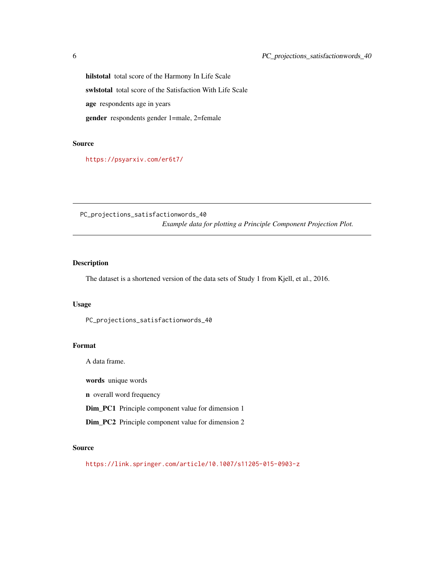hilstotal total score of the Harmony In Life Scale swlstotal total score of the Satisfaction With Life Scale age respondents age in years gender respondents gender 1=male, 2=female

### Source

<https://psyarxiv.com/er6t7/>

PC\_projections\_satisfactionwords\_40 *Example data for plotting a Principle Component Projection Plot.*

### Description

The dataset is a shortened version of the data sets of Study 1 from Kjell, et al., 2016.

#### Usage

PC\_projections\_satisfactionwords\_40

#### Format

A data frame.

words unique words

n overall word frequency

Dim\_PC1 Principle component value for dimension 1

Dim\_PC2 Principle component value for dimension 2

### Source

<https://link.springer.com/article/10.1007/s11205-015-0903-z>

<span id="page-5-0"></span>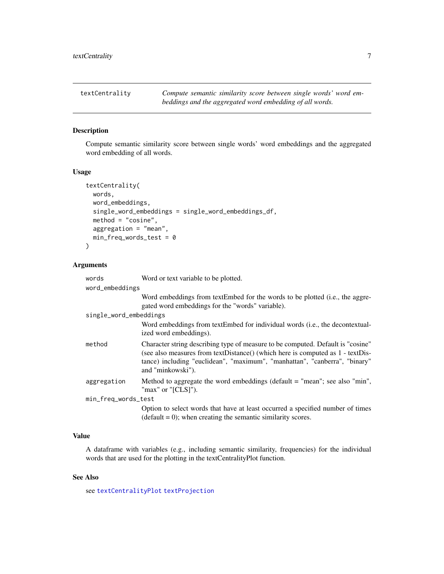<span id="page-6-1"></span><span id="page-6-0"></span>

### Description

Compute semantic similarity score between single words' word embeddings and the aggregated word embedding of all words.

#### Usage

```
textCentrality(
 words,
 word_embeddings,
  single_word_embeddings = single_word_embeddings_df,
 method = "cosine",
 aggregation = "mean",
 min_freq_words_test = 0)
```
#### Arguments

| words                  | Word or text variable to be plotted.                                                                                                                                                                                                                                 |  |
|------------------------|----------------------------------------------------------------------------------------------------------------------------------------------------------------------------------------------------------------------------------------------------------------------|--|
| word_embeddings        |                                                                                                                                                                                                                                                                      |  |
|                        | Word embeddings from textEmbed for the words to be plotted (i.e., the aggre-<br>gated word embeddings for the "words" variable).                                                                                                                                     |  |
| single_word_embeddings |                                                                                                                                                                                                                                                                      |  |
|                        | Word embeddings from textEmbed for individual words (i.e., the decontextual-<br>ized word embeddings).                                                                                                                                                               |  |
| method                 | Character string describing type of measure to be computed. Default is "cosine"<br>(see also measures from textDistance() (which here is computed as 1 - textDis-<br>tance) including "euclidean", "maximum", "manhattan", "canberra", "binary"<br>and "minkowski"). |  |
| aggregation            | Method to aggregate the word embeddings (default $=$ "mean"; see also "min",<br>" $max$ " or " $[CLS]$ ").                                                                                                                                                           |  |
| min_freq_words_test    |                                                                                                                                                                                                                                                                      |  |
|                        | Option to select words that have at least occurred a specified number of times<br>$(default = 0)$ ; when creating the semantic similarity scores.                                                                                                                    |  |

### Value

A dataframe with variables (e.g., including semantic similarity, frequencies) for the individual words that are used for the plotting in the textCentralityPlot function.

### See Also

see [textCentralityPlot](#page-7-1) [textProjection](#page-29-1)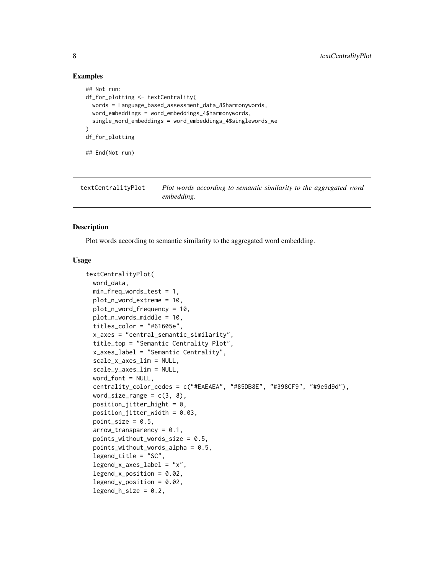#### Examples

```
## Not run:
df_for_plotting <- textCentrality(
 words = Language_based_assessment_data_8$harmonywords,
 word_embeddings = word_embeddings_4$harmonywords,
 single_word_embeddings = word_embeddings_4$singlewords_we
\lambdadf_for_plotting
## End(Not run)
```
<span id="page-7-1"></span>textCentralityPlot *Plot words according to semantic similarity to the aggregated word embedding.*

### **Description**

Plot words according to semantic similarity to the aggregated word embedding.

#### Usage

```
textCentralityPlot(
  word_data,
 min_freq_words_test = 1,
 plot_n_word_extreme = 10,
 plot_n_word_frequency = 10,
 plot_n_words_middle = 10,
  titles_color = "#61605e",
  x_axes = "central_semantic_similarity",
  title_top = "Semantic Centrality Plot",
  x_axes_label = "Semantic Centrality",
  scale_x_axes_lim = NULL,
  scale_y_axes_lim = NULL,
  word_font = NULL,
  centrality_color_codes = c("#EAEAEA", "#85DB8E", "#398CF9", "#9e9d9d"),
  word_size_range = c(3, 8),
  position\_jitter\_hight = 0,
  position\_jitter\_width = 0.03,point_size = 0.5,
  arrow\_transport = 0.1,
  points_without_words_size = 0.5,
  points_without_words_alpha = 0.5,
  legend_title = "SC",
  legend_x_axes_label = 'x'.legend_x_position = 0.02,
  legend_y_position = 0.02,
  legend_h_size = 0.2,
```
<span id="page-7-0"></span>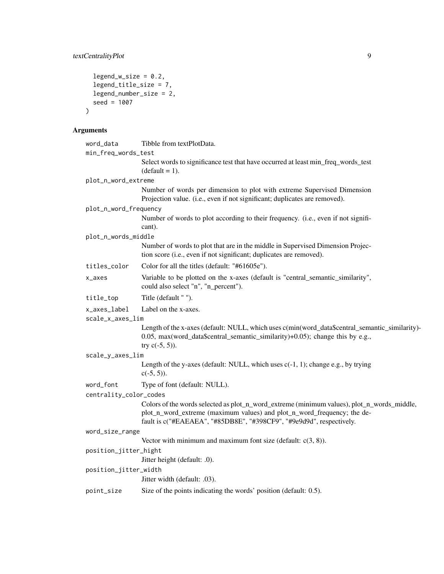```
legend_w_size = 0.2,
  legend_title_size = 7,
  legend_number_size = 2,
  seed = 1007
\mathcal{L}
```
### Arguments

| word_data              | Tibble from textPlotData.                                                                                                                                                                            |  |
|------------------------|------------------------------------------------------------------------------------------------------------------------------------------------------------------------------------------------------|--|
| min_freq_words_test    |                                                                                                                                                                                                      |  |
|                        | Select words to significance test that have occurred at least min_freq_words_test<br>$(default = 1).$                                                                                                |  |
| plot_n_word_extreme    |                                                                                                                                                                                                      |  |
|                        | Number of words per dimension to plot with extreme Supervised Dimension<br>Projection value. (i.e., even if not significant; duplicates are removed).                                                |  |
| plot_n_word_frequency  |                                                                                                                                                                                                      |  |
|                        | Number of words to plot according to their frequency. (i.e., even if not signifi-<br>cant).                                                                                                          |  |
| plot_n_words_middle    |                                                                                                                                                                                                      |  |
|                        | Number of words to plot that are in the middle in Supervised Dimension Projec-<br>tion score (i.e., even if not significant; duplicates are removed).                                                |  |
| titles_color           | Color for all the titles (default: "#61605e").                                                                                                                                                       |  |
| x_axes                 | Variable to be plotted on the x-axes (default is "central_semantic_similarity",<br>could also select "n", "n_percent").                                                                              |  |
| title_top              | Title (default "").                                                                                                                                                                                  |  |
| x_axes_label           | Label on the x-axes.                                                                                                                                                                                 |  |
| scale_x_axes_lim       |                                                                                                                                                                                                      |  |
|                        | Length of the x-axes (default: NULL, which uses c(min(word_data\$central_semantic_similarity)-<br>0.05, max(word_data\$central_semantic_similarity)+0.05); change this by e.g.,<br>try $c(-5, 5)$ ). |  |
| scale_y_axes_lim       |                                                                                                                                                                                                      |  |
|                        | Length of the y-axes (default: NULL, which uses $c(-1, 1)$ ; change e.g., by trying<br>$c(-5, 5)$ ).                                                                                                 |  |
| word_font              | Type of font (default: NULL).                                                                                                                                                                        |  |
| centrality_color_codes |                                                                                                                                                                                                      |  |
|                        | Colors of the words selected as plot_n_word_extreme (minimum values), plot_n_words_middle,                                                                                                           |  |
|                        | plot_n_word_extreme (maximum values) and plot_n_word_frequency; the de-<br>fault is c("#EAEAEA", "#85DB8E", "#398CF9", "#9e9d9d", respectively.                                                      |  |
| word_size_range        |                                                                                                                                                                                                      |  |
|                        | Vector with minimum and maximum font size (default: $c(3, 8)$ ).                                                                                                                                     |  |
| position_jitter_hight  | Jitter height (default: .0).                                                                                                                                                                         |  |
| position_jitter_width  |                                                                                                                                                                                                      |  |
|                        | Jitter width (default: .03).                                                                                                                                                                         |  |
| point_size             | Size of the points indicating the words' position (default: 0.5).                                                                                                                                    |  |
|                        |                                                                                                                                                                                                      |  |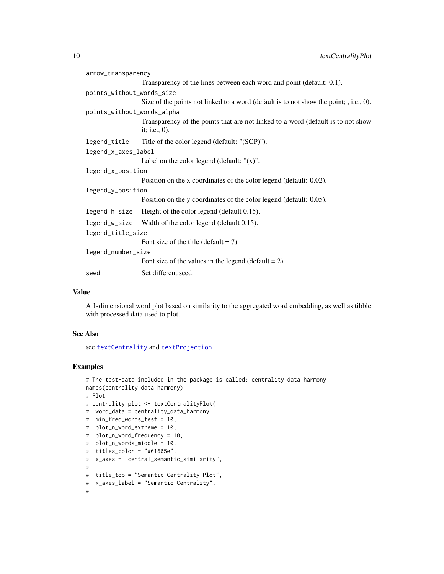<span id="page-9-0"></span>

| arrow_transparency         |                                                                                                      |
|----------------------------|------------------------------------------------------------------------------------------------------|
|                            | Transparency of the lines between each word and point (default: 0.1).                                |
| points_without_words_size  |                                                                                                      |
|                            | Size of the points not linked to a word (default is to not show the point; , i.e., 0).               |
| points_without_words_alpha |                                                                                                      |
|                            | Transparency of the points that are not linked to a word (default is to not show<br>it; i.e., $0$ ). |
| legend_title               | Title of the color legend (default: "(SCP)").                                                        |
| legend_x_axes_label        |                                                                                                      |
|                            | Label on the color legend (default: $''(x)$ ".                                                       |
| legend_x_position          |                                                                                                      |
|                            | Position on the x coordinates of the color legend (default: 0.02).                                   |
| legend_y_position          |                                                                                                      |
|                            | Position on the y coordinates of the color legend (default: 0.05).                                   |
| legend_h_size              | Height of the color legend (default 0.15).                                                           |
|                            | legend_w_size Width of the color legend (default 0.15).                                              |
| legend_title_size          |                                                                                                      |
|                            | Font size of the title (default $= 7$ ).                                                             |
| legend_number_size         |                                                                                                      |
|                            | Font size of the values in the legend (default $= 2$ ).                                              |
| seed                       | Set different seed.                                                                                  |

#### Value

A 1-dimensional word plot based on similarity to the aggregated word embedding, as well as tibble with processed data used to plot.

### See Also

see [textCentrality](#page-6-1) and [textProjection](#page-29-1)

### Examples

```
# The test-data included in the package is called: centrality_data_harmony
names(centrality_data_harmony)
# Plot
# centrality_plot <- textCentralityPlot(
# word_data = centrality_data_harmony,
# min_freq_words_test = 10,
# plot_n_word_extreme = 10,
# plot_n_word_frequency = 10,
# plot_n_words_middle = 10,
# titles_color = "#61605e",
# x_axes = "central_semantic_similarity",
#
# title_top = "Semantic Centrality Plot",
# x_axes_label = "Semantic Centrality",
#
```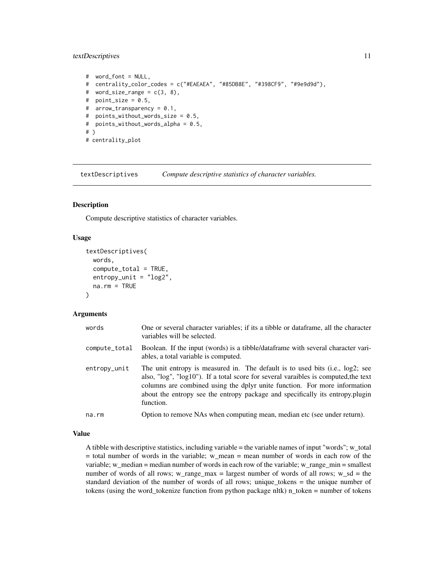### <span id="page-10-0"></span>textDescriptives 11

```
# word_font = NULL,
# centrality_color_codes = c("#EAEAEA", "#85DB8E", "#398CF9", "#9e9d9d"),
# word_size_range = c(3, 8),
# point_size = 0.5,
# arrow_transparency = 0.1,
# points_without_words_size = 0.5,
# points_without_words_alpha = 0.5,
# )
# centrality_plot
```
textDescriptives *Compute descriptive statistics of character variables.*

#### Description

Compute descriptive statistics of character variables.

#### Usage

```
textDescriptives(
 words,
  compute\_total = TRUE,entropy\_unit = "log2",na.rm = TRUE
)
```
### Arguments

| words         | One or several character variables; if its a tibble or data frame, all the character<br>variables will be selected.                                                                                                                                                                                                                             |  |
|---------------|-------------------------------------------------------------------------------------------------------------------------------------------------------------------------------------------------------------------------------------------------------------------------------------------------------------------------------------------------|--|
| compute_total | Boolean. If the input (words) is a tibble/dataframe with several character vari-<br>ables, a total variable is computed.                                                                                                                                                                                                                        |  |
| entropy_unit  | The unit entropy is measured in. The default is to used bits (i.e., log2; see<br>also, "log", "log10"). If a total score for several varaibles is computed, the text<br>columns are combined using the dplyr unite function. For more information<br>about the entropy see the entropy package and specifically its entropy.plugin<br>function. |  |
| na.rm         | Option to remove NAs when computing mean, median etc (see under return).                                                                                                                                                                                                                                                                        |  |

#### Value

A tibble with descriptive statistics, including variable = the variable names of input "words"; w\_total  $=$  total number of words in the variable; w\_mean  $=$  mean number of words in each row of the variable; w\_median = median number of words in each row of the variable; w\_range\_min = smallest number of words of all rows; w\_range\_max = largest number of words of all rows; w\_sd = the standard deviation of the number of words of all rows; unique\_tokens = the unique number of tokens (using the word\_tokenize function from python package nltk) n\_token = number of tokens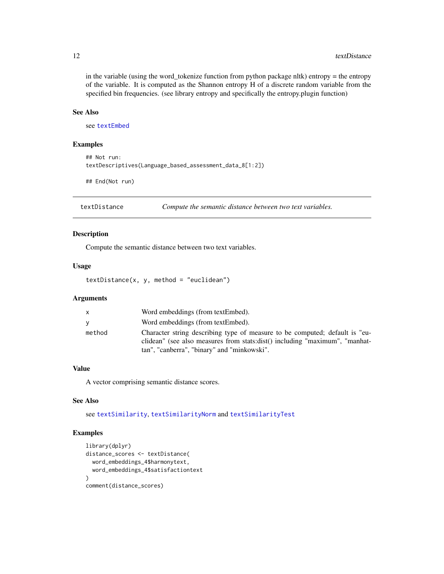in the variable (using the word\_tokenize function from python package nltk) entropy = the entropy of the variable. It is computed as the Shannon entropy H of a discrete random variable from the specified bin frequencies. (see library entropy and specifically the entropy.plugin function)

### See Also

see [textEmbed](#page-12-1)

### Examples

```
## Not run:
textDescriptives(Language_based_assessment_data_8[1:2])
```
## End(Not run)

<span id="page-11-1"></span>textDistance *Compute the semantic distance between two text variables.*

### Description

Compute the semantic distance between two text variables.

#### Usage

 $textDistance(x, y, method = "euclidean")$ 

### Arguments

| $\mathsf{x}$ | Word embeddings (from textEmbed).                                                                                                                                                                         |
|--------------|-----------------------------------------------------------------------------------------------------------------------------------------------------------------------------------------------------------|
| <b>y</b>     | Word embeddings (from textEmbed).                                                                                                                                                                         |
| method       | Character string describing type of measure to be computed; default is "eu-<br>clidean" (see also measures from stats:dist() including "maximum", "manhat-<br>tan", "canberra", "binary" and "minkowski". |

### Value

A vector comprising semantic distance scores.

### See Also

see [textSimilarity](#page-39-1), [textSimilarityNorm](#page-40-1) and [textSimilarityTest](#page-41-1)

### Examples

```
library(dplyr)
distance_scores <- textDistance(
 word_embeddings_4$harmonytext,
 word_embeddings_4$satisfactiontext
\mathcal{L}comment(distance_scores)
```
<span id="page-11-0"></span>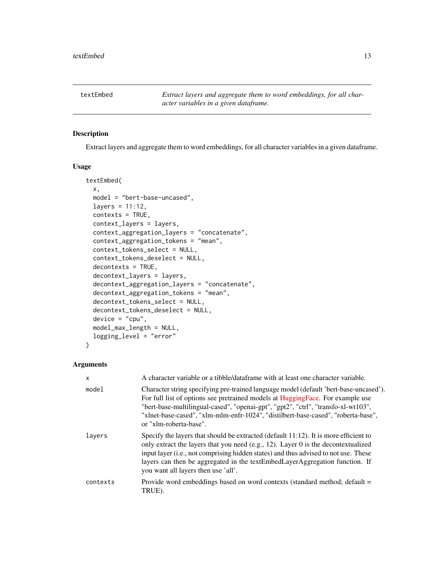<span id="page-12-1"></span><span id="page-12-0"></span>textEmbed *Extract layers and aggregate them to word embeddings, for all character variables in a given dataframe.*

#### Description

Extract layers and aggregate them to word embeddings, for all character variables in a given dataframe.

### Usage

```
textEmbed(
  x,
 model = "bert-base-uncased",
  layers = 11:12,
  contexts = TRUE,
  context_layers = layers,
  context_aggregation_layers = "concatenate",
  context_aggregation_tokens = "mean",
  context_tokens_select = NULL,
  context_tokens_deselect = NULL,
  decontexts = TRUE,
  decontext_layers = layers,
  decontext_aggregation_layers = "concatenate",
  decontext_aggregation_tokens = "mean",
  decontext_tokens_select = NULL,
  decontext_tokens_deselect = NULL,
  device = "cpu",model_max_length = NULL,
  logging_level = "error"
)
```
#### Arguments

| $\mathsf{x}$ | A character variable or a tibble/data frame with at least one character variable.                                                                                                                                                                                                                                                                                                         |  |
|--------------|-------------------------------------------------------------------------------------------------------------------------------------------------------------------------------------------------------------------------------------------------------------------------------------------------------------------------------------------------------------------------------------------|--|
| model        | Character string specifying pre-trained language model (default 'bert-base-uncased').<br>For full list of options see pretrained models at HuggingFace. For example use<br>"bert-base-multilingual-cased", "openai-gpt", "gpt2", "ctrl", "transfo-xl-wt103",<br>"xlnet-base-cased", "xlm-mlm-enfr-1024", "distilbert-base-cased", "roberta-base",<br>or "xlm-roberta-base".               |  |
| lavers       | Specify the layers that should be extracted (default $11:12$ ). It is more efficient to<br>only extract the layers that you need (e.g., 12). Layer 0 is the decontextualized<br>input layer (i.e., not comprising hidden states) and thus advised to not use. These<br>layers can then be aggregated in the textEmbedLayerAggregation function. If<br>you want all layers then use 'all'. |  |
| contexts     | Provide word embeddings based on word contexts (standard method; default =<br>TRUE).                                                                                                                                                                                                                                                                                                      |  |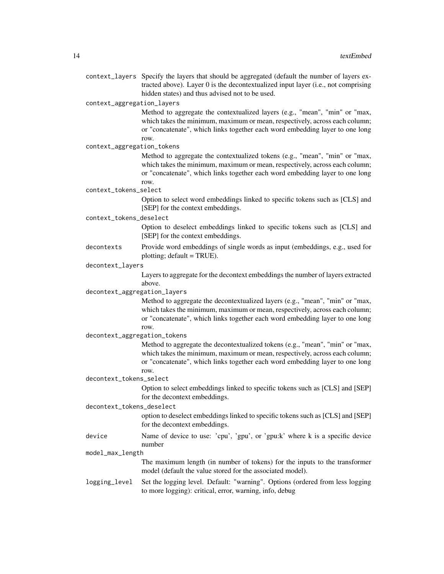context\_layers Specify the layers that should be aggregated (default the number of layers extracted above). Layer 0 is the decontextualized input layer (i.e., not comprising hidden states) and thus advised not to be used.

context\_aggregation\_layers

Method to aggregate the contextualized layers (e.g., "mean", "min" or "max, which takes the minimum, maximum or mean, respectively, across each column; or "concatenate", which links together each word embedding layer to one long row.

context\_aggregation\_tokens

Method to aggregate the contextualized tokens (e.g., "mean", "min" or "max, which takes the minimum, maximum or mean, respectively, across each column; or "concatenate", which links together each word embedding layer to one long row.

context\_tokens\_select

Option to select word embeddings linked to specific tokens such as [CLS] and [SEP] for the context embeddings.

context\_tokens\_deselect

Option to deselect embeddings linked to specific tokens such as [CLS] and [SEP] for the context embeddings.

decontexts Provide word embeddings of single words as input (embeddings, e.g., used for plotting; default  $= TRUE$ ).

#### decontext\_layers

Layers to aggregate for the decontext embeddings the number of layers extracted above.

decontext\_aggregation\_layers

Method to aggregate the decontextualized layers (e.g., "mean", "min" or "max, which takes the minimum, maximum or mean, respectively, across each column; or "concatenate", which links together each word embedding layer to one long row.

decontext\_aggregation\_tokens

Method to aggregate the decontextualized tokens (e.g., "mean", "min" or "max, which takes the minimum, maximum or mean, respectively, across each column; or "concatenate", which links together each word embedding layer to one long row.

decontext\_tokens\_select

Option to select embeddings linked to specific tokens such as [CLS] and [SEP] for the decontext embeddings.

decontext\_tokens\_deselect

option to deselect embeddings linked to specific tokens such as [CLS] and [SEP] for the decontext embeddings.

device Name of device to use: 'cpu', 'gpu', or 'gpu:k' where k is a specific device number

model\_max\_length

The maximum length (in number of tokens) for the inputs to the transformer model (default the value stored for the associated model).

logging\_level Set the logging level. Default: "warning". Options (ordered from less logging to more logging): critical, error, warning, info, debug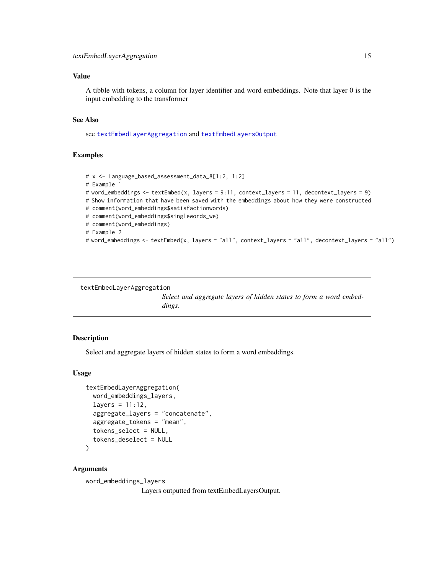### <span id="page-14-0"></span>Value

A tibble with tokens, a column for layer identifier and word embeddings. Note that layer 0 is the input embedding to the transformer

#### See Also

see [textEmbedLayerAggregation](#page-14-1) and [textEmbedLayersOutput](#page-15-1)

#### Examples

```
# x <- Language_based_assessment_data_8[1:2, 1:2]
# Example 1
# word_embeddings <- textEmbed(x, layers = 9:11, context_layers = 11, decontext_layers = 9)
# Show information that have been saved with the embeddings about how they were constructed
# comment(word_embeddings$satisfactionwords)
# comment(word_embeddings$singlewords_we)
# comment(word_embeddings)
# Example 2
# word_embeddings <- textEmbed(x, layers = "all", context_layers = "all", decontext_layers = "all")
```

```
textEmbedLayerAggregation
```
*Select and aggregate layers of hidden states to form a word embeddings.*

#### Description

Select and aggregate layers of hidden states to form a word embeddings.

#### Usage

```
textEmbedLayerAggregation(
  word_embeddings_layers,
  layers = 11:12,
  aggregate_layers = "concatenate",
  aggregate_tokens = "mean",
  tokens_select = NULL,
  tokens_deselect = NULL
)
```
#### Arguments

word\_embeddings\_layers Layers outputted from textEmbedLayersOutput.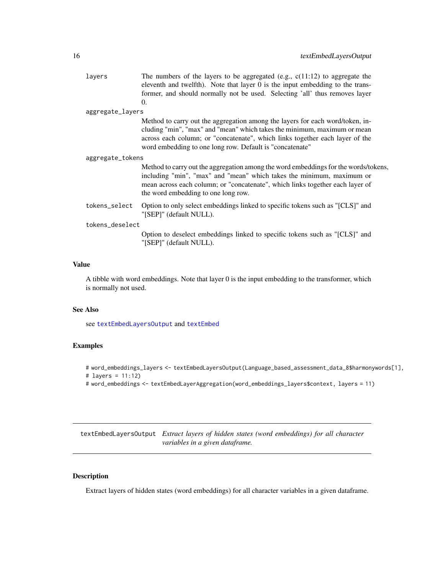<span id="page-15-0"></span>

|                  | layers           | The numbers of the layers to be aggregated (e.g., $c(11:12)$ ) to aggregate the<br>eleventh and twelfth). Note that layer 0 is the input embedding to the trans-<br>former, and should normally not be used. Selecting 'all' thus removes layer                                                       |
|------------------|------------------|-------------------------------------------------------------------------------------------------------------------------------------------------------------------------------------------------------------------------------------------------------------------------------------------------------|
|                  |                  | $\Omega$ .                                                                                                                                                                                                                                                                                            |
|                  | aggregate_layers |                                                                                                                                                                                                                                                                                                       |
|                  |                  | Method to carry out the aggregation among the layers for each word/token, in-<br>cluding "min", "max" and "mean" which takes the minimum, maximum or mean<br>across each column; or "concatenate", which links together each layer of the<br>word embedding to one long row. Default is "concatenate" |
| aggregate_tokens |                  |                                                                                                                                                                                                                                                                                                       |
|                  |                  | Method to carry out the aggregation among the word embeddings for the words/tokens,<br>including "min", "max" and "mean" which takes the minimum, maximum or<br>mean across each column; or "concatenate", which links together each layer of<br>the word embedding to one long row.                  |
|                  | tokens_select    | Option to only select embeddings linked to specific tokens such as "[CLS]" and<br>"[SEP]" (default NULL).                                                                                                                                                                                             |
| tokens_deselect  |                  |                                                                                                                                                                                                                                                                                                       |
|                  |                  | Option to deselect embeddings linked to specific tokens such as "[CLS]" and<br>"[SEP]" (default NULL).                                                                                                                                                                                                |
|                  |                  |                                                                                                                                                                                                                                                                                                       |

### Value

A tibble with word embeddings. Note that layer 0 is the input embedding to the transformer, which is normally not used.

#### See Also

see [textEmbedLayersOutput](#page-15-1) and [textEmbed](#page-12-1)

### Examples

```
# word_embeddings_layers <- textEmbedLayersOutput(Language_based_assessment_data_8$harmonywords[1],
# layers = 11:12)
```

```
# word_embeddings <- textEmbedLayerAggregation(word_embeddings_layers$context, layers = 11)
```
<span id="page-15-1"></span>textEmbedLayersOutput *Extract layers of hidden states (word embeddings) for all character variables in a given dataframe.*

### Description

Extract layers of hidden states (word embeddings) for all character variables in a given dataframe.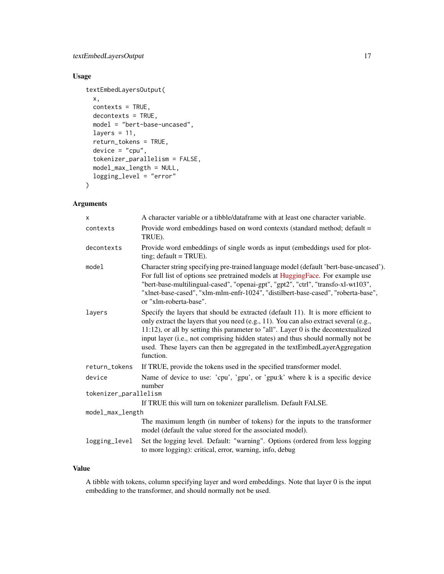### textEmbedLayersOutput 17

### Usage

```
textEmbedLayersOutput(
 x,
 contexts = TRUE,
 decontexts = TRUE,
 model = "bert-base-uncased",
 layers = 11,
 return_tokens = TRUE,
 device = "cpu",tokenizer_parallelism = FALSE,
 model_max_length = NULL,
 logging_level = "error"
)
```
### Arguments

| X                     | A character variable or a tibble/dataframe with at least one character variable.                                                                                                                                                                                                                                                                                                                                                                |  |
|-----------------------|-------------------------------------------------------------------------------------------------------------------------------------------------------------------------------------------------------------------------------------------------------------------------------------------------------------------------------------------------------------------------------------------------------------------------------------------------|--|
| contexts              | Provide word embeddings based on word contexts (standard method; default =<br>TRUE).                                                                                                                                                                                                                                                                                                                                                            |  |
| decontexts            | Provide word embeddings of single words as input (embeddings used for plot-<br>ting; $default = TRUE$ ).                                                                                                                                                                                                                                                                                                                                        |  |
| model                 | Character string specifying pre-trained language model (default 'bert-base-uncased').<br>For full list of options see pretrained models at HuggingFace. For example use<br>"bert-base-multilingual-cased", "openai-gpt", "gpt2", "ctrl", "transfo-xl-wt103",<br>"xlnet-base-cased", "xlm-mlm-enfr-1024", "distilbert-base-cased", "roberta-base",<br>or "xlm-roberta-base".                                                                     |  |
| layers                | Specify the layers that should be extracted (default 11). It is more efficient to<br>only extract the layers that you need (e.g., 11). You can also extract several (e.g.,<br>11:12), or all by setting this parameter to "all". Layer 0 is the decontextualized<br>input layer (i.e., not comprising hidden states) and thus should normally not be<br>used. These layers can then be aggregated in the textEmbedLayerAggregation<br>function. |  |
| return_tokens         | If TRUE, provide the tokens used in the specified transformer model.                                                                                                                                                                                                                                                                                                                                                                            |  |
| device                | Name of device to use: 'cpu', 'gpu', or 'gpu:k' where k is a specific device<br>number                                                                                                                                                                                                                                                                                                                                                          |  |
| tokenizer_parallelism |                                                                                                                                                                                                                                                                                                                                                                                                                                                 |  |
|                       | If TRUE this will turn on tokenizer parallelism. Default FALSE.                                                                                                                                                                                                                                                                                                                                                                                 |  |
| model_max_length      |                                                                                                                                                                                                                                                                                                                                                                                                                                                 |  |
|                       | The maximum length (in number of tokens) for the inputs to the transformer<br>model (default the value stored for the associated model).                                                                                                                                                                                                                                                                                                        |  |
| logging_level         | Set the logging level. Default: "warning". Options (ordered from less logging<br>to more logging): critical, error, warning, info, debug                                                                                                                                                                                                                                                                                                        |  |

#### Value

A tibble with tokens, column specifying layer and word embeddings. Note that layer 0 is the input embedding to the transformer, and should normally not be used.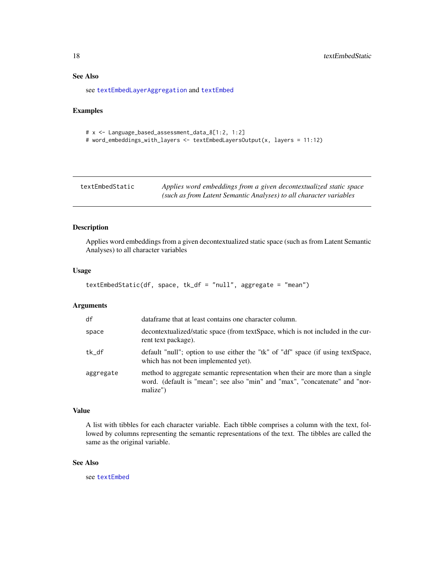### See Also

see [textEmbedLayerAggregation](#page-14-1) and [textEmbed](#page-12-1)

### Examples

```
# x <- Language_based_assessment_data_8[1:2, 1:2]
# word_embeddings_with_layers <- textEmbedLayersOutput(x, layers = 11:12)
```

| textEmbedStatic | Applies word embeddings from a given decontextualized static space |
|-----------------|--------------------------------------------------------------------|
|                 | (such as from Latent Semantic Analyses) to all character variables |

### Description

Applies word embeddings from a given decontextualized static space (such as from Latent Semantic Analyses) to all character variables

#### Usage

```
textEmbedStatic(df, space, tk_df = "null", aggregate = "mean")
```
#### Arguments

| df        | dataframe that at least contains one character column.                                                                                                                   |
|-----------|--------------------------------------------------------------------------------------------------------------------------------------------------------------------------|
| space     | decontextualized/static space (from textSpace, which is not included in the cur-<br>rent text package).                                                                  |
| tk_df     | default "null"; option to use either the "tk" of "df" space (if using textSpace,<br>which has not been implemented yet).                                                 |
| aggregate | method to aggregate semantic representation when their are more than a single<br>word. (default is "mean"; see also "min" and "max", "concatenate" and "nor-<br>malize") |

### Value

A list with tibbles for each character variable. Each tibble comprises a column with the text, followed by columns representing the semantic representations of the text. The tibbles are called the same as the original variable.

### See Also

see [textEmbed](#page-12-1)

<span id="page-17-0"></span>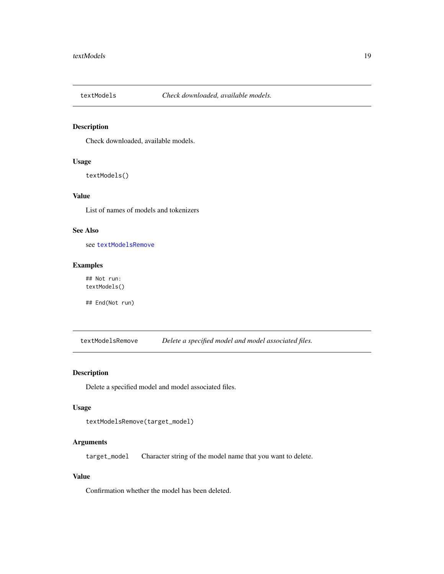<span id="page-18-2"></span><span id="page-18-0"></span>

### Description

Check downloaded, available models.

### Usage

textModels()

### Value

List of names of models and tokenizers

### See Also

see [textModelsRemove](#page-18-1)

### Examples

## Not run: textModels()

## End(Not run)

<span id="page-18-1"></span>textModelsRemove *Delete a specified model and model associated files.*

### Description

Delete a specified model and model associated files.

#### Usage

```
textModelsRemove(target_model)
```
### Arguments

target\_model Character string of the model name that you want to delete.

#### Value

Confirmation whether the model has been deleted.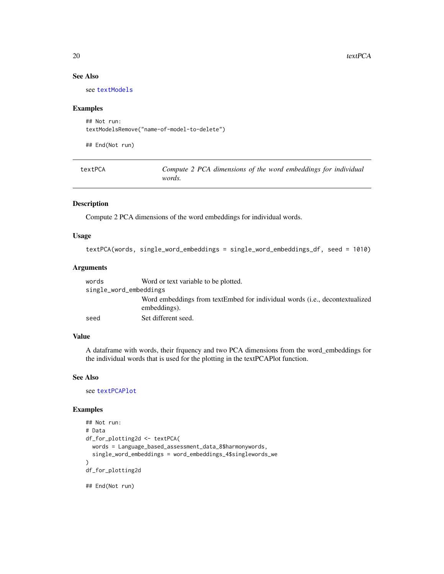### See Also

see [textModels](#page-18-2)

#### Examples

```
## Not run:
textModelsRemove("name-of-model-to-delete")
```
## End(Not run)

<span id="page-19-1"></span>

| textPCA | Compute 2 PCA dimensions of the word embeddings for individual |
|---------|----------------------------------------------------------------|
|         | words.                                                         |

#### Description

Compute 2 PCA dimensions of the word embeddings for individual words.

### Usage

```
textPCA(words, single_word_embeddings = single_word_embeddings_df, seed = 1010)
```
### Arguments

| words                  | Word or text variable to be plotted.                                        |  |
|------------------------|-----------------------------------------------------------------------------|--|
| single_word_embeddings |                                                                             |  |
|                        | Word embeddings from textEmbed for individual words (i.e., decontextualized |  |
|                        | embeddings).                                                                |  |
| seed                   | Set different seed.                                                         |  |

#### Value

A dataframe with words, their frquency and two PCA dimensions from the word\_embeddings for the individual words that is used for the plotting in the textPCAPlot function.

#### See Also

see [textPCAPlot](#page-20-1)

#### Examples

```
## Not run:
# Data
df_for_plotting2d <- textPCA(
 words = Language_based_assessment_data_8$harmonywords,
 single_word_embeddings = word_embeddings_4$singlewords_we
\overline{)}df_for_plotting2d
```
## End(Not run)

<span id="page-19-0"></span>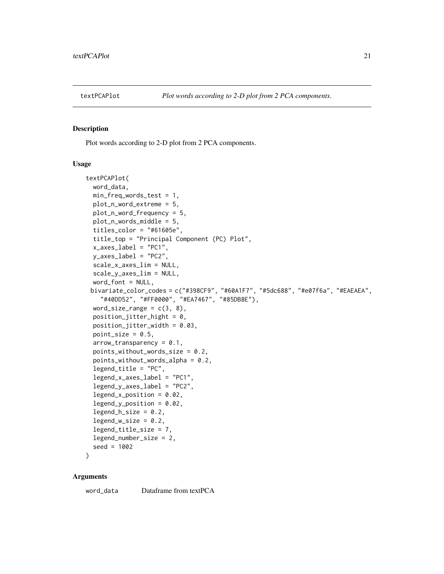<span id="page-20-1"></span><span id="page-20-0"></span>

#### Description

Plot words according to 2-D plot from 2 PCA components.

#### Usage

```
textPCAPlot(
  word_data,
 min_freq_words_test = 1,
 plot_n_word_extreme = 5,
 plot_n_word_frequency = 5,
 plot_n_words_middle = 5,
  titles_color = "#61605e",
  title_top = "Principal Component (PC) Plot",
  x_axes_label = "PC1",
  y_axes_label = "PC2",
  scale_x_axes_lim = NULL,
  scale_y_axes_lim = NULL,
 word_font = NULL,
 bivariate_color_codes = c("#398CF9", "#60A1F7", "#5dc688", "#e07f6a", "#EAEAEA",
    "#40DD52", "#FF0000", "#EA7467", "#85DB8E"),
 word_size_range = c(3, 8),
 position\_jitter\_hight = 0,position_jitter_width = 0.03,
 point_size = 0.5,
  arrow\_transportarrow<sub>-</sub>transparency = 0.1,
  points_without_words_size = 0.2,
  points_without_words_alpha = 0.2,
  legend_title = "PC",
  legend_x_axes_label = "PC1",
  legend_y_axes_label = "PC2",
  legend_x_position = 0.02,
  legend_y_position = 0.02,
  legend_h_size = 0.2,legend_w_size = 0.2,
  legend_title_size = 7,
  legend_number_size = 2,
  seed = 1002
```
)

#### Arguments

word\_data Dataframe from textPCA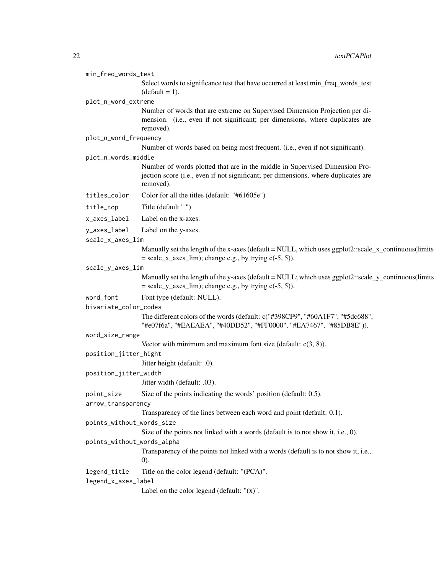| min_freq_words_test                     |                                                                                                                                                                                |  |
|-----------------------------------------|--------------------------------------------------------------------------------------------------------------------------------------------------------------------------------|--|
|                                         | Select words to significance test that have occurred at least min_freq_words_test<br>$(detault = 1).$                                                                          |  |
| plot_n_word_extreme                     |                                                                                                                                                                                |  |
|                                         | Number of words that are extreme on Supervised Dimension Projection per di-<br>mension. (i.e., even if not significant; per dimensions, where duplicates are<br>removed).      |  |
| plot_n_word_frequency                   |                                                                                                                                                                                |  |
|                                         | Number of words based on being most frequent. (i.e., even if not significant).                                                                                                 |  |
| plot_n_words_middle                     |                                                                                                                                                                                |  |
|                                         | Number of words plotted that are in the middle in Supervised Dimension Pro-<br>jection score (i.e., even if not significant; per dimensions, where duplicates are<br>removed). |  |
| titles_color                            | Color for all the titles (default: "#61605e")                                                                                                                                  |  |
| title_top                               | Title (default "")                                                                                                                                                             |  |
| x_axes_label                            | Label on the x-axes.                                                                                                                                                           |  |
| y_axes_label                            | Label on the y-axes.                                                                                                                                                           |  |
| scale_x_axes_lim                        |                                                                                                                                                                                |  |
|                                         | Manually set the length of the x-axes (default = NULL, which uses ggplot2::scale_x_continuous(limits<br>$= scale_x_axes_lim$ ; change e.g., by trying $c(-5, 5)$ ).            |  |
| scale_y_axes_lim                        |                                                                                                                                                                                |  |
|                                         | Manually set the length of the y-axes (default = NULL; which uses ggplot2::scale_y_continuous(limits<br>$=$ scale_y_axes_lim); change e.g., by trying $c(-5, 5)$ ).            |  |
| word_font<br>Font type (default: NULL). |                                                                                                                                                                                |  |
| bivariate_color_codes                   |                                                                                                                                                                                |  |
|                                         | The different colors of the words (default: c("#398CF9", "#60A1F7", "#5dc688",<br>"#e07f6a", "#EAEAEA", "#40DD52", "#FF0000", "#EA7467", "#85DB8E")).                          |  |
| word_size_range                         |                                                                                                                                                                                |  |
|                                         | Vector with minimum and maximum font size (default: $c(3, 8)$ ).                                                                                                               |  |
| position_jitter_hight                   |                                                                                                                                                                                |  |
|                                         | Jitter height (default: .0).                                                                                                                                                   |  |
| position_jitter_width                   |                                                                                                                                                                                |  |
|                                         | Jitter width (default: .03).                                                                                                                                                   |  |
| point_size                              | Size of the points indicating the words' position (default: 0.5).                                                                                                              |  |
| arrow_transparency                      |                                                                                                                                                                                |  |
|                                         | Transparency of the lines between each word and point (default: 0.1).                                                                                                          |  |
| points_without_words_size               | Size of the points not linked with a words (default is to not show it, i.e., 0).                                                                                               |  |
| points_without_words_alpha              |                                                                                                                                                                                |  |
|                                         | Transparency of the points not linked with a words (default is to not show it, i.e.,<br>(0).                                                                                   |  |
| legend_title                            | Title on the color legend (default: "(PCA)".                                                                                                                                   |  |
| legend_x_axes_label                     |                                                                                                                                                                                |  |
|                                         | Label on the color legend (default: $''(x)$ ".                                                                                                                                 |  |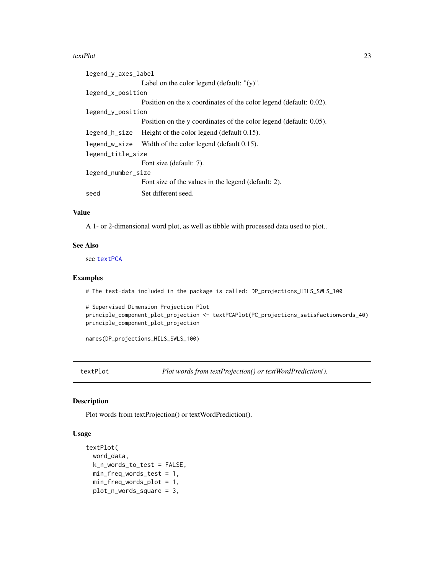<span id="page-22-0"></span>

| legend_y_axes_label |                                                                    |  |
|---------------------|--------------------------------------------------------------------|--|
|                     | Label on the color legend (default: $"(\mathbf{y})$ ".             |  |
| legend_x_position   |                                                                    |  |
|                     | Position on the x coordinates of the color legend (default: 0.02). |  |
| legend_y_position   |                                                                    |  |
|                     | Position on the y coordinates of the color legend (default: 0.05). |  |
| legend_h_size       | Height of the color legend (default 0.15).                         |  |
|                     | legend_w_size Width of the color legend (default 0.15).            |  |
| legend_title_size   |                                                                    |  |
|                     | Font size (default: 7).                                            |  |
| legend_number_size  |                                                                    |  |
|                     | Font size of the values in the legend (default: 2).                |  |
| seed                | Set different seed.                                                |  |

### Value

A 1- or 2-dimensional word plot, as well as tibble with processed data used to plot..

### See Also

see [textPCA](#page-19-1)

#### Examples

# The test-data included in the package is called: DP\_projections\_HILS\_SWLS\_100

```
# Supervised Dimension Projection Plot
principle_component_plot_projection <- textPCAPlot(PC_projections_satisfactionwords_40)
principle_component_plot_projection
```
names(DP\_projections\_HILS\_SWLS\_100)

textPlot *Plot words from textProjection() or textWordPrediction().*

### Description

Plot words from textProjection() or textWordPrediction().

### Usage

```
textPlot(
 word_data,
 k_n_words_to_test = FALSE,
 min_freq_words_test = 1,
 min_freq_words_plot = 1,
 plot_n_words_square = 3,
```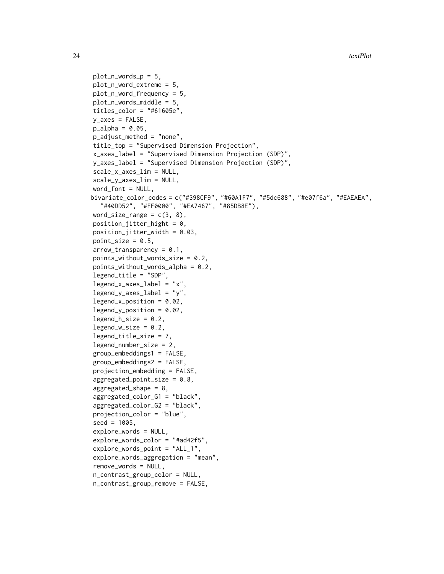```
plot_n_words_p = 5,
plot_n_word_extreme = 5,
plot_n_word_frequency = 5,
plot_n_words_middle = 5,
titles_{color} = "#61605e",y_axes = FALSE,
p_{a}lpha = 0.05,
p_adjust_method = "none",
title_top = "Supervised Dimension Projection",
x_axes_label = "Supervised Dimension Projection (SDP)",
y_axes_label = "Supervised Dimension Projection (SDP)",
scale_x_axes_lim = NULL,
scale_y_axes_lim = NULL,
word_font = NULL,bivariate_color_codes = c("#398CF9", "#60A1F7", "#5dc688", "#e07f6a", "#EAEAEA",
  "#40DD52", "#FF0000", "#EA7467", "#85DB8E"),
word_size_range = c(3, 8),position\_jitter\_hight = 0,
position\_jitter\_width = 0.03,
point_size = 0.5,
arrow\_transportpoints_without_words_size = 0.2,
points_without_words_alpha = 0.2,
legend_title = "SDP",
legend_x_axes_label = 'x'.legend_y_axes_label = 'y'',legend_x_position = 0.02,
legend_y_position = 0.02,
legend_h_size = 0.2,legend_w_size = 0.2,legend_title_size = 7,
legend_number_size = 2,
group_embeddings1 = FALSE,
group_embeddings2 = FALSE,
projection_embedding = FALSE,
aggregate d_point_size = 0.8,
agregated\_shape = 8,
aggregated_color_G1 = "black",
aggregated_color_G2 = "black",
projection_color = "blue",
seed = 1005,
explore_words = NULL,
explore_words_color = "#ad42f5",
explore_words_point = "ALL_1",
explore_words_aggregation = "mean",
remove_words = NULL,
n_contrast_group_color = NULL,
n_contrast_group_remove = FALSE,
```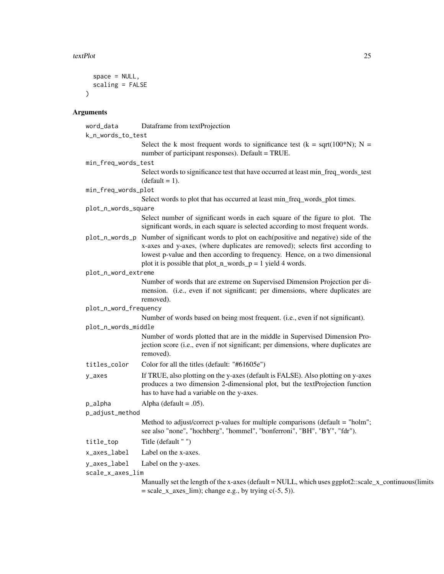```
space = NULL,
scaling = FALSE
\overline{)}
```
### Arguments

| word_data             | Dataframe from textProjection                                                                                                                                                                                                                                                                                |
|-----------------------|--------------------------------------------------------------------------------------------------------------------------------------------------------------------------------------------------------------------------------------------------------------------------------------------------------------|
| k_n_words_to_test     |                                                                                                                                                                                                                                                                                                              |
|                       | Select the k most frequent words to significance test ( $k = sqrt(100*N)$ ; N =<br>number of participant responses). Default = TRUE.                                                                                                                                                                         |
| min_freq_words_test   |                                                                                                                                                                                                                                                                                                              |
|                       | Select words to significance test that have occurred at least min_freq_words_test<br>$(detault = 1).$                                                                                                                                                                                                        |
| min_freq_words_plot   |                                                                                                                                                                                                                                                                                                              |
|                       | Select words to plot that has occurred at least min_freq_words_plot times.                                                                                                                                                                                                                                   |
| plot_n_words_square   |                                                                                                                                                                                                                                                                                                              |
|                       | Select number of significant words in each square of the figure to plot. The<br>significant words, in each square is selected according to most frequent words.                                                                                                                                              |
| plot_n_words_p        | Number of significant words to plot on each(positive and negative) side of the<br>x-axes and y-axes, (where duplicates are removed); selects first according to<br>lowest p-value and then according to frequency. Hence, on a two dimensional<br>plot it is possible that plot_n_words_p = 1 yield 4 words. |
| plot_n_word_extreme   |                                                                                                                                                                                                                                                                                                              |
|                       | Number of words that are extreme on Supervised Dimension Projection per di-<br>mension. (i.e., even if not significant; per dimensions, where duplicates are<br>removed).                                                                                                                                    |
| plot_n_word_frequency |                                                                                                                                                                                                                                                                                                              |
|                       | Number of words based on being most frequent. (i.e., even if not significant).                                                                                                                                                                                                                               |
| plot_n_words_middle   |                                                                                                                                                                                                                                                                                                              |
|                       | Number of words plotted that are in the middle in Supervised Dimension Pro-<br>jection score (i.e., even if not significant; per dimensions, where duplicates are<br>removed).                                                                                                                               |
| titles_color          | Color for all the titles (default: "#61605e")                                                                                                                                                                                                                                                                |
| y_axes                | If TRUE, also plotting on the y-axes (default is FALSE). Also plotting on y-axes<br>produces a two dimension 2-dimensional plot, but the textProjection function<br>has to have had a variable on the y-axes.                                                                                                |
| p_alpha               | Alpha (default = $.05$ ).                                                                                                                                                                                                                                                                                    |
| p_adjust_method       |                                                                                                                                                                                                                                                                                                              |
|                       | Method to adjust/correct p-values for multiple comparisons (default = "holm";<br>see also "none", "hochberg", "hommel", "bonferroni", "BH", "BY", "fdr").                                                                                                                                                    |
| title_top             | Title (default "")                                                                                                                                                                                                                                                                                           |
| x_axes_label          | Label on the x-axes.                                                                                                                                                                                                                                                                                         |
| y_axes_label          | Label on the y-axes.                                                                                                                                                                                                                                                                                         |
| scale_x_axes_lim      |                                                                                                                                                                                                                                                                                                              |
|                       | Manually set the length of the x-axes (default = NULL, which uses ggplot2::scale_x_continuous(limits<br>$=$ scale_x_axes_lim); change e.g., by trying $c(-5, 5)$ ).                                                                                                                                          |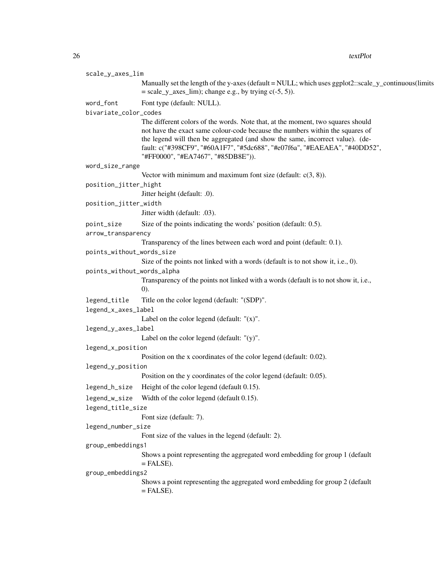| scale_y_axes_lim           |                                                                                                                                                             |  |
|----------------------------|-------------------------------------------------------------------------------------------------------------------------------------------------------------|--|
|                            | Manually set the length of the y-axes (default = NULL; which uses ggplot2::scale_y_continuous(limits                                                        |  |
|                            | $=$ scale_y_axes_lim); change e.g., by trying $c(-5, 5)$ ).                                                                                                 |  |
| word_font                  | Font type (default: NULL).                                                                                                                                  |  |
| bivariate_color_codes      |                                                                                                                                                             |  |
|                            | The different colors of the words. Note that, at the moment, two squares should                                                                             |  |
|                            | not have the exact same colour-code because the numbers within the squares of                                                                               |  |
|                            | the legend will then be aggregated (and show the same, incorrect value). (de-<br>fault: c("#398CF9", "#60A1F7", "#5dc688", "#e07f6a", "#EAEAEA", "#40DD52", |  |
|                            | "#FF0000", "#EA7467", "#85DB8E")).                                                                                                                          |  |
| word_size_range            |                                                                                                                                                             |  |
|                            | Vector with minimum and maximum font size (default: $c(3, 8)$ ).                                                                                            |  |
| position_jitter_hight      |                                                                                                                                                             |  |
|                            | Jitter height (default: .0).                                                                                                                                |  |
| position_jitter_width      |                                                                                                                                                             |  |
|                            | Jitter width (default: .03).                                                                                                                                |  |
| point_size                 | Size of the points indicating the words' position (default: 0.5).                                                                                           |  |
| arrow_transparency         | Transparency of the lines between each word and point (default: 0.1).                                                                                       |  |
| points_without_words_size  |                                                                                                                                                             |  |
|                            | Size of the points not linked with a words (default is to not show it, i.e., 0).                                                                            |  |
| points_without_words_alpha |                                                                                                                                                             |  |
|                            | Transparency of the points not linked with a words (default is to not show it, i.e.,                                                                        |  |
|                            | (0).                                                                                                                                                        |  |
| legend_title               | Title on the color legend (default: "(SDP)".                                                                                                                |  |
| legend_x_axes_label        |                                                                                                                                                             |  |
|                            | Label on the color legend (default: $''(x)$ ".                                                                                                              |  |
| legend_y_axes_label        |                                                                                                                                                             |  |
| legend_x_position          | Label on the color legend (default: $"(y)$ ".                                                                                                               |  |
|                            | Position on the x coordinates of the color legend (default: 0.02).                                                                                          |  |
| legend_y_position          |                                                                                                                                                             |  |
|                            | Position on the y coordinates of the color legend (default: 0.05).                                                                                          |  |
| legend_h_size              | Height of the color legend (default 0.15).                                                                                                                  |  |
|                            | legend_w_size Width of the color legend (default 0.15).                                                                                                     |  |
| legend_title_size          |                                                                                                                                                             |  |
|                            | Font size (default: 7).                                                                                                                                     |  |
| legend_number_size         |                                                                                                                                                             |  |
|                            | Font size of the values in the legend (default: 2).                                                                                                         |  |
| group_embeddings1          |                                                                                                                                                             |  |
|                            | Shows a point representing the aggregated word embedding for group 1 (default<br>$=$ FALSE).                                                                |  |
| group_embeddings2          |                                                                                                                                                             |  |
|                            | Shows a point representing the aggregated word embedding for group 2 (default                                                                               |  |
|                            | $=$ FALSE).                                                                                                                                                 |  |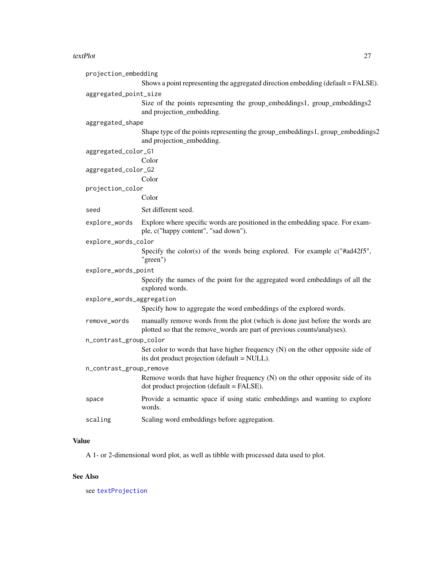<span id="page-26-0"></span>

| projection_embedding      |                                                                                                                                                         |  |
|---------------------------|---------------------------------------------------------------------------------------------------------------------------------------------------------|--|
|                           | Shows a point representing the aggregated direction embedding (default = FALSE).                                                                        |  |
| aggregated_point_size     |                                                                                                                                                         |  |
|                           | Size of the points representing the group_embeddings1, group_embeddings2<br>and projection_embedding.                                                   |  |
| aggregated_shape          |                                                                                                                                                         |  |
|                           | Shape type of the points representing the group_embeddings1, group_embeddings2<br>and projection_embedding.                                             |  |
| aggregated_color_G1       |                                                                                                                                                         |  |
|                           | Color                                                                                                                                                   |  |
| aggregated_color_G2       |                                                                                                                                                         |  |
|                           | Color                                                                                                                                                   |  |
| projection_color          |                                                                                                                                                         |  |
|                           | Color                                                                                                                                                   |  |
| seed                      | Set different seed.                                                                                                                                     |  |
| explore_words             | Explore where specific words are positioned in the embedding space. For exam-<br>ple, c("happy content", "sad down").                                   |  |
| explore_words_color       |                                                                                                                                                         |  |
|                           | Specify the color(s) of the words being explored. For example $c("$ #ad42f5",<br>"green")                                                               |  |
| explore_words_point       |                                                                                                                                                         |  |
|                           | Specify the names of the point for the aggregated word embeddings of all the<br>explored words.                                                         |  |
| explore_words_aggregation |                                                                                                                                                         |  |
|                           | Specify how to aggregate the word embeddings of the explored words.                                                                                     |  |
| remove_words              | manually remove words from the plot (which is done just before the words are<br>plotted so that the remove_words are part of previous counts/analyses). |  |
| n_contrast_group_color    |                                                                                                                                                         |  |
|                           | Set color to words that have higher frequency $(N)$ on the other opposite side of<br>its dot product projection (default = NULL).                       |  |
| n_contrast_group_remove   |                                                                                                                                                         |  |
|                           | Remove words that have higher frequency (N) on the other opposite side of its<br>dot product projection (default = FALSE).                              |  |
| space                     | Provide a semantic space if using static embeddings and wanting to explore<br>words.                                                                    |  |
| scaling                   | Scaling word embeddings before aggregation.                                                                                                             |  |

### Value

A 1- or 2-dimensional word plot, as well as tibble with processed data used to plot.

### See Also

see [textProjection](#page-29-1)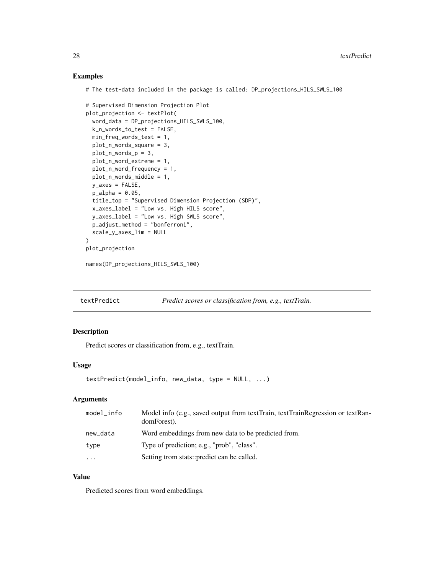#### Examples

# The test-data included in the package is called: DP\_projections\_HILS\_SWLS\_100

```
# Supervised Dimension Projection Plot
plot_projection <- textPlot(
 word_data = DP_projections_HILS_SWLS_100,
 k_n_words_to_test = FALSE,
 min_freq_words_test = 1,
 plot_n_words_square = 3,
 plot_n_words_p = 3,
 plot_n_word_extreme = 1,
 plot_n_word_frequency = 1,
 plot_n_words_middle = 1,
 y_axes = FALSE,
 p_alpha = 0.05,
 title_top = "Supervised Dimension Projection (SDP)",
 x_axes_label = "Low vs. High HILS score",
 y_axes_label = "Low vs. High SWLS score",
 p_adjust_method = "bonferroni",
 scale_y_axes_lim = NULL
\overline{\phantom{a}}plot_projection
```

```
names(DP_projections_HILS_SWLS_100)
```
<span id="page-27-1"></span>textPredict *Predict scores or classification from, e.g., textTrain.*

### Description

Predict scores or classification from, e.g., textTrain.

#### Usage

```
textPredict(model_info, new_data, type = NULL, ...)
```
#### Arguments

| model_info | Model info (e.g., saved output from textTrain, textTrainRegression or textRan-<br>domForest). |
|------------|-----------------------------------------------------------------------------------------------|
| new_data   | Word embeddings from new data to be predicted from.                                           |
| type       | Type of prediction; e.g., "prob", "class".                                                    |
| $\cdots$   | Setting trom stats::predict can be called.                                                    |

### Value

Predicted scores from word embeddings.

<span id="page-27-0"></span>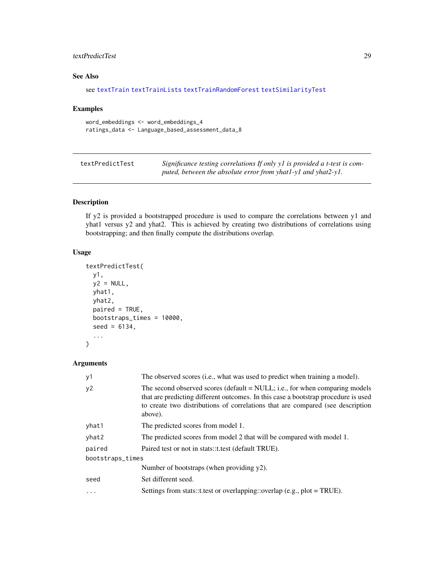### <span id="page-28-0"></span>textPredictTest 29

### See Also

```
see textTrain textTrainLists textTrainRandomForest textSimilarityTest
```
### Examples

```
word_embeddings <- word_embeddings_4
ratings_data <- Language_based_assessment_data_8
```

| textPredictTest | Significance testing correlations If only y1 is provided a t-test is com- |
|-----------------|---------------------------------------------------------------------------|
|                 | puted, between the absolute error from yhat $1$ -yl and yhat $2$ -yl.     |

### Description

If y2 is provided a bootstrapped procedure is used to compare the correlations between y1 and yhat1 versus y2 and yhat2. This is achieved by creating two distributions of correlations using bootstrapping; and then finally compute the distributions overlap.

### Usage

```
textPredictTest(
 y1,
 y2 = NULL,yhat1,
 yhat2,
 paired = TRUE,
 bootstraps_times = 10000,
  seed = 6134,
  ...
\lambda
```
### Arguments

| y1               | The observed scores (i.e., what was used to predict when training a model).                                                                                                                                                                                    |  |
|------------------|----------------------------------------------------------------------------------------------------------------------------------------------------------------------------------------------------------------------------------------------------------------|--|
| y2               | The second observed scores (default = NULL; i.e., for when comparing models<br>that are predicting different outcomes. In this case a bootstrap procedure is used<br>to create two distributions of correlations that are compared (see description<br>above). |  |
| yhat1            | The predicted scores from model 1.                                                                                                                                                                                                                             |  |
| yhat2            | The predicted scores from model 2 that will be compared with model 1.                                                                                                                                                                                          |  |
| paired           | Paired test or not in stats::t.test (default TRUE).                                                                                                                                                                                                            |  |
| bootstraps_times |                                                                                                                                                                                                                                                                |  |
|                  | Number of bootstraps (when providing $y2$ ).                                                                                                                                                                                                                   |  |
| seed             | Set different seed.                                                                                                                                                                                                                                            |  |
| $\ddotsc$        | Settings from stats::t.test or overlapping::overlap (e.g., plot = TRUE).                                                                                                                                                                                       |  |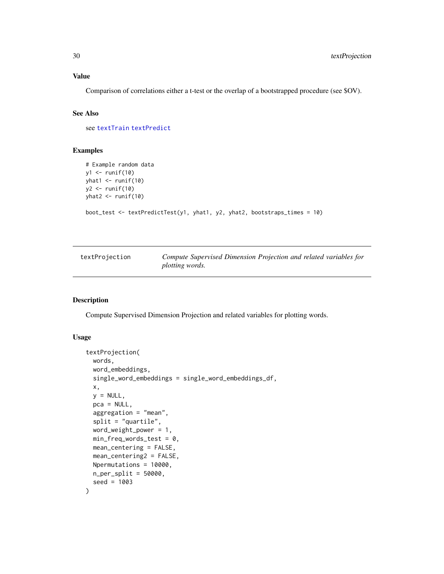### <span id="page-29-0"></span>Value

Comparison of correlations either a t-test or the overlap of a bootstrapped procedure (see \$OV).

### See Also

see [textTrain](#page-43-1) [textPredict](#page-27-1)

### Examples

```
# Example random data
y1 \leftarrow runif(10)yhat1 <- runif(10)
y2 <- runif(10)
yhat2 < - runif(10)
boot_test <- textPredictTest(y1, yhat1, y2, yhat2, bootstraps_times = 10)
```
<span id="page-29-1"></span>

| textProjection | Compute Supervised Dimension Projection and related variables for |
|----------------|-------------------------------------------------------------------|
|                | plotting words.                                                   |

### Description

Compute Supervised Dimension Projection and related variables for plotting words.

#### Usage

```
textProjection(
 words,
 word_embeddings,
  single_word_embeddings = single_word_embeddings_df,
 x,
 y = NULL,pca = NULL,
  aggregation = "mean",
  split = "quartile",
 word_weight_power = 1,
 min_freq_words_test = 0,mean_centering = FALSE,
 mean_centering2 = FALSE,
 Npermutations = 10000,
 n_{per\_split} = 50000,
  seed = 1003
)
```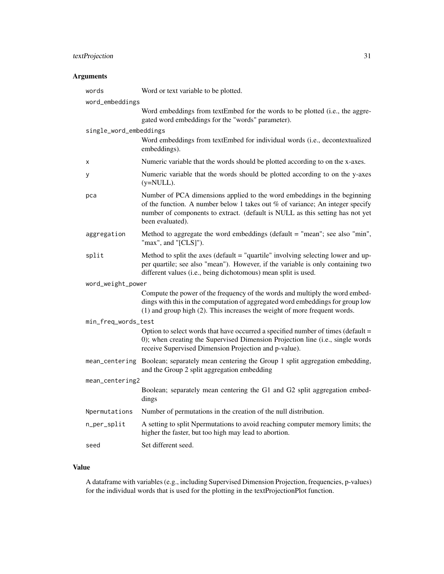### textProjection 31

### Arguments

| words                  | Word or text variable to be plotted.                                                                                                                                                                                                                             |  |
|------------------------|------------------------------------------------------------------------------------------------------------------------------------------------------------------------------------------------------------------------------------------------------------------|--|
| word_embeddings        |                                                                                                                                                                                                                                                                  |  |
|                        | Word embeddings from textEmbed for the words to be plotted (i.e., the aggre-<br>gated word embeddings for the "words" parameter).                                                                                                                                |  |
| single_word_embeddings |                                                                                                                                                                                                                                                                  |  |
|                        | Word embeddings from textEmbed for individual words (i.e., decontextualized<br>embeddings).                                                                                                                                                                      |  |
| x                      | Numeric variable that the words should be plotted according to on the x-axes.                                                                                                                                                                                    |  |
| У                      | Numeric variable that the words should be plotted according to on the y-axes<br>$(y=NULL)$ .                                                                                                                                                                     |  |
| pca                    | Number of PCA dimensions applied to the word embeddings in the beginning<br>of the function. A number below 1 takes out $%$ of variance; An integer specify<br>number of components to extract. (default is NULL as this setting has not yet<br>been evaluated). |  |
| aggregation            | Method to aggregate the word embeddings (default $=$ "mean"; see also "min",<br>"max", and "[CLS]").                                                                                                                                                             |  |
| split                  | Method to split the axes (default $=$ "quartile" involving selecting lower and up-<br>per quartile; see also "mean"). However, if the variable is only containing two<br>different values (i.e., being dichotomous) mean split is used.                          |  |
| word_weight_power      |                                                                                                                                                                                                                                                                  |  |
|                        | Compute the power of the frequency of the words and multiply the word embed-<br>dings with this in the computation of aggregated word embeddings for group low<br>(1) and group high (2). This increases the weight of more frequent words.                      |  |
| min_freq_words_test    |                                                                                                                                                                                                                                                                  |  |
|                        | Option to select words that have occurred a specified number of times (default =<br>0); when creating the Supervised Dimension Projection line (i.e., single words<br>receive Supervised Dimension Projection and p-value).                                      |  |
|                        | mean_centering Boolean; separately mean centering the Group 1 split aggregation embedding,<br>and the Group 2 split aggregation embedding                                                                                                                        |  |
| mean_centering2        |                                                                                                                                                                                                                                                                  |  |
|                        | Boolean; separately mean centering the G1 and G2 split aggregation embed-<br>dings                                                                                                                                                                               |  |
| Npermutations          | Number of permutations in the creation of the null distribution.                                                                                                                                                                                                 |  |
| n_per_split            | A setting to split Npermutations to avoid reaching computer memory limits; the<br>higher the faster, but too high may lead to abortion.                                                                                                                          |  |
| seed                   | Set different seed.                                                                                                                                                                                                                                              |  |

### Value

A dataframe with variables (e.g., including Supervised Dimension Projection, frequencies, p-values) for the individual words that is used for the plotting in the textProjectionPlot function.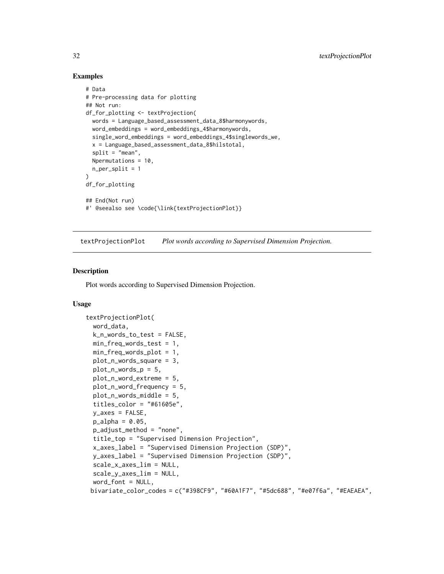### Examples

```
# Data
# Pre-processing data for plotting
## Not run:
df_for_plotting <- textProjection(
  words = Language_based_assessment_data_8$harmonywords,
  word_embeddings = word_embeddings_4$harmonywords,
  single_word_embeddings = word_embeddings_4$singlewords_we,
  x = Language_based_assessment_data_8$hilstotal,
  split = "mean",Npermutations = 10,
  n_{per\_split} = 1)
df_for_plotting
## End(Not run)
#' @seealso see \code{\link{textProjectionPlot}}
```
textProjectionPlot *Plot words according to Supervised Dimension Projection.*

#### Description

Plot words according to Supervised Dimension Projection.

#### Usage

```
textProjectionPlot(
 word_data,
  k_n_words_to_test = FALSE,
 min_freq_words_test = 1,
 min_freq_words_plot = 1,
 plot_n_words_square = 3,
 plot_n_words_p = 5,
 plot_n_word_extreme = 5,
  plot_n_word_frequency = 5,
 plot_n_words_middle = 5,
  titles_color = "#61605e",
 y_axes = FALSE,
 p_{a}lpha = 0.05,
  p_adjust_method = "none",
  title_top = "Supervised Dimension Projection",
  x_axes_label = "Supervised Dimension Projection (SDP)",
  y_axes_label = "Supervised Dimension Projection (SDP)",
  scale_x_axes_lim = NULL,
  scale_y_axes_lim = NULL,
  word_font = NULL,
 bivariate_color_codes = c("#398CF9", "#60A1F7", "#5dc688", "#e07f6a", "#EAEAEA",
```
<span id="page-31-0"></span>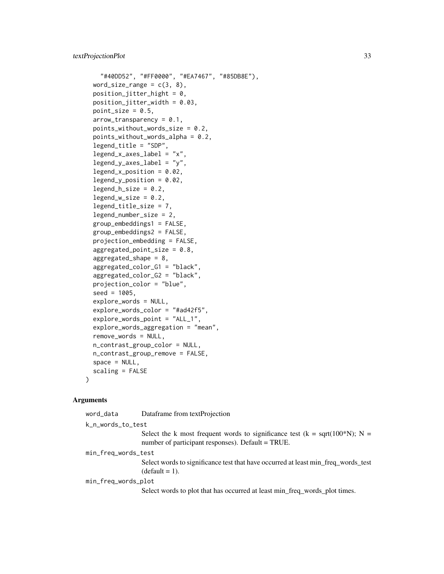```
"#40DD52", "#FF0000", "#EA7467", "#85DB8E"),
word_size_range = c(3, 8),
position_jitter_hight = 0,
position\_jitter\_width = 0.03,
point_size = 0.5,
arrow\_transportpoints_without_words_size = 0.2,
points_without_words_alpha = 0.2,
legend_title = "SDP",
legend_x_axes_label = "x",
legend_y_axes_label = "y",
legend_x_position = 0.02,
legend_y_position = 0.02,
legend_h_size = 0.2,legend_w_size = 0.2,
legend_title_size = 7,
legend_number_size = 2,
group_embeddings1 = FALSE,
group_embeddings2 = FALSE,
projection_embedding = FALSE,
aggregate d_point_size = 0.8,
aggregated_shape = 8,
aggregated_color_G1 = "black",
aggregated_color_G2 = "black",
projection_color = "blue",
seed = 1005,
explore_words = NULL,
explore_words_color = "#ad42f5",
explore_words_point = "ALL_1",
explore_words_aggregation = "mean",
remove_words = NULL,
n_contrast_group_color = NULL,
n_contrast_group_remove = FALSE,
space = NULL,scaling = FALSE
```
#### Arguments

)

word\_data Dataframe from textProjection k\_n\_words\_to\_test Select the k most frequent words to significance test (k = sqrt(100\*N); N = number of participant responses). Default = TRUE. min\_freq\_words\_test Select words to significance test that have occurred at least min\_freq\_words\_test  $(detault = 1).$ min\_freq\_words\_plot Select words to plot that has occurred at least min\_freq\_words\_plot times.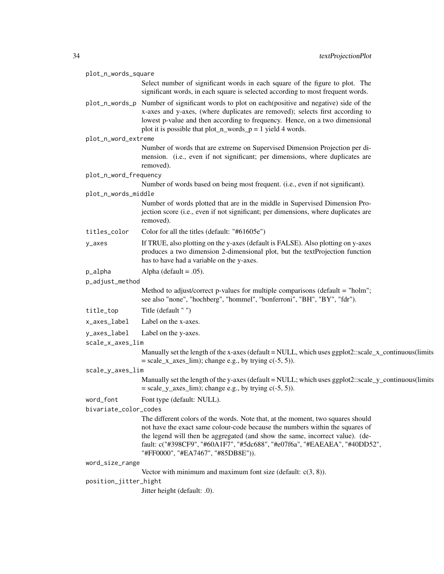|                 | plot_n_words_square   |                                                                                                                                                                                                                                                                                                                             |
|-----------------|-----------------------|-----------------------------------------------------------------------------------------------------------------------------------------------------------------------------------------------------------------------------------------------------------------------------------------------------------------------------|
|                 |                       | Select number of significant words in each square of the figure to plot. The<br>significant words, in each square is selected according to most frequent words.                                                                                                                                                             |
|                 |                       | plot_n_words_p Number of significant words to plot on each(positive and negative) side of the<br>x-axes and y-axes, (where duplicates are removed); selects first according to<br>lowest p-value and then according to frequency. Hence, on a two dimensional<br>plot it is possible that plot_n_words_p = 1 yield 4 words. |
|                 | plot_n_word_extreme   |                                                                                                                                                                                                                                                                                                                             |
|                 |                       | Number of words that are extreme on Supervised Dimension Projection per di-<br>mension. (i.e., even if not significant; per dimensions, where duplicates are<br>removed).                                                                                                                                                   |
|                 | plot_n_word_frequency |                                                                                                                                                                                                                                                                                                                             |
|                 |                       | Number of words based on being most frequent. (i.e., even if not significant).                                                                                                                                                                                                                                              |
|                 | plot_n_words_middle   |                                                                                                                                                                                                                                                                                                                             |
|                 |                       | Number of words plotted that are in the middle in Supervised Dimension Pro-<br>jection score (i.e., even if not significant; per dimensions, where duplicates are<br>removed).                                                                                                                                              |
|                 | titles_color          | Color for all the titles (default: "#61605e")                                                                                                                                                                                                                                                                               |
|                 | y_axes                | If TRUE, also plotting on the y-axes (default is FALSE). Also plotting on y-axes<br>produces a two dimension 2-dimensional plot, but the textProjection function<br>has to have had a variable on the y-axes.                                                                                                               |
|                 | p_alpha               | Alpha (default = $.05$ ).                                                                                                                                                                                                                                                                                                   |
| p_adjust_method |                       |                                                                                                                                                                                                                                                                                                                             |
|                 |                       | Method to adjust/correct p-values for multiple comparisons (default = "holm";<br>see also "none", "hochberg", "hommel", "bonferroni", "BH", "BY", "fdr").                                                                                                                                                                   |
|                 | title_top             | Title (default "")                                                                                                                                                                                                                                                                                                          |
|                 | x_axes_label          | Label on the x-axes.                                                                                                                                                                                                                                                                                                        |
|                 | y_axes_label          | Label on the y-axes.                                                                                                                                                                                                                                                                                                        |
|                 | scale_x_axes_lim      |                                                                                                                                                                                                                                                                                                                             |
|                 |                       | Manually set the length of the x-axes (default = NULL, which uses ggplot2::scale_x_continuous(limits<br>$=$ scale_x_axes_lim); change e.g., by trying $c(-5, 5)$ ).                                                                                                                                                         |
|                 | scale_y_axes_lim      |                                                                                                                                                                                                                                                                                                                             |
|                 |                       | Manually set the length of the y-axes (default = NULL; which uses ggplot2::scale_y_continuous(limits<br>$= scale_y_axes_lim$ ; change e.g., by trying $c(-5, 5)$ ).                                                                                                                                                         |
|                 | word_font             | Font type (default: NULL).                                                                                                                                                                                                                                                                                                  |
|                 | bivariate_color_codes |                                                                                                                                                                                                                                                                                                                             |
|                 |                       | The different colors of the words. Note that, at the moment, two squares should                                                                                                                                                                                                                                             |
|                 |                       | not have the exact same colour-code because the numbers within the squares of<br>the legend will then be aggregated (and show the same, incorrect value). (de-<br>fault: c("#398CF9", "#60A1F7", "#5dc688", "#e07f6a", "#EAEAEA", "#40DD52",<br>"#FF0000", "#EA7467", "#85DB8E")).                                          |
|                 | word_size_range       |                                                                                                                                                                                                                                                                                                                             |
|                 |                       | Vector with minimum and maximum font size (default: $c(3, 8)$ ).                                                                                                                                                                                                                                                            |
|                 | position_jitter_hight |                                                                                                                                                                                                                                                                                                                             |
|                 |                       | Jitter height (default: .0).                                                                                                                                                                                                                                                                                                |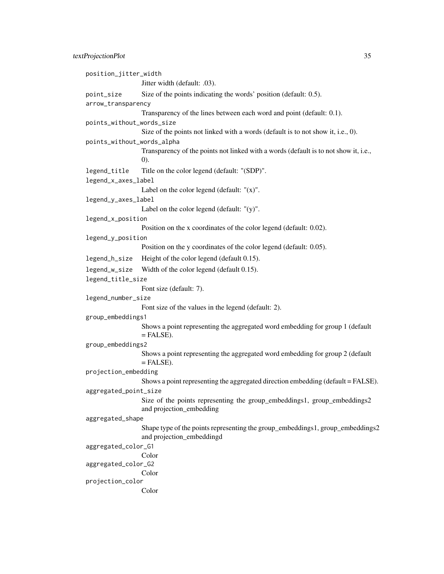position\_jitter\_width Jitter width (default: .03). point\_size Size of the points indicating the words' position (default: 0.5). arrow\_transparency Transparency of the lines between each word and point (default: 0.1). points\_without\_words\_size Size of the points not linked with a words (default is to not show it, i.e., 0). points\_without\_words\_alpha Transparency of the points not linked with a words (default is to not show it, i.e., 0). legend\_title Title on the color legend (default: "(SDP)". legend\_x\_axes\_label Label on the color legend (default:  $''(x)$ ". legend\_y\_axes\_label Label on the color legend (default: "(y)". legend\_x\_position Position on the x coordinates of the color legend (default: 0.02). legend\_y\_position Position on the y coordinates of the color legend (default: 0.05). legend\_h\_size Height of the color legend (default 0.15). legend\_w\_size Width of the color legend (default 0.15). legend\_title\_size Font size (default: 7). legend\_number\_size Font size of the values in the legend (default: 2). group\_embeddings1 Shows a point representing the aggregated word embedding for group 1 (default  $=$  FALSE). group\_embeddings2 Shows a point representing the aggregated word embedding for group 2 (default  $=$  FALSE). projection\_embedding Shows a point representing the aggregated direction embedding (default = FALSE). aggregated\_point\_size Size of the points representing the group\_embeddings1, group\_embeddings2 and projection\_embedding aggregated\_shape Shape type of the points representing the group\_embeddings1, group\_embeddings2 and projection\_embeddingd aggregated\_color\_G1 Color aggregated\_color\_G2 Color projection\_color Color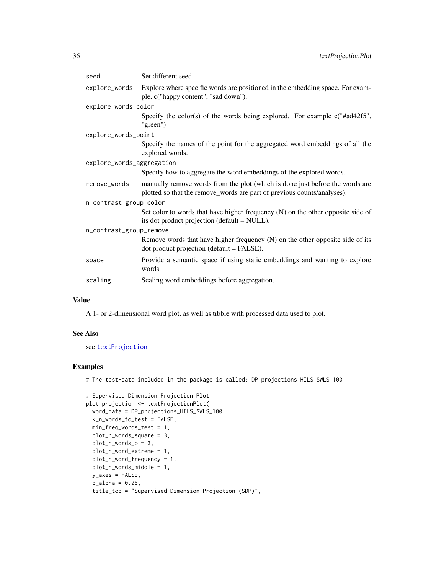<span id="page-35-0"></span>

| seed                      | Set different seed.                                                                                                                                     |  |
|---------------------------|---------------------------------------------------------------------------------------------------------------------------------------------------------|--|
| explore_words             | Explore where specific words are positioned in the embedding space. For exam-<br>ple, c("happy content", "sad down").                                   |  |
| explore_words_color       |                                                                                                                                                         |  |
|                           | Specify the color(s) of the words being explored. For example $c$ ("#ad42f5",<br>"green")                                                               |  |
| explore_words_point       |                                                                                                                                                         |  |
|                           | Specify the names of the point for the aggregated word embeddings of all the<br>explored words.                                                         |  |
| explore_words_aggregation |                                                                                                                                                         |  |
|                           | Specify how to aggregate the word embeddings of the explored words.                                                                                     |  |
| remove_words              | manually remove words from the plot (which is done just before the words are<br>plotted so that the remove_words are part of previous counts/analyses). |  |
| n_contrast_group_color    |                                                                                                                                                         |  |
|                           | Set color to words that have higher frequency (N) on the other opposite side of<br>its dot product projection (default = NULL).                         |  |
| n_contrast_group_remove   |                                                                                                                                                         |  |
|                           | Remove words that have higher frequency (N) on the other opposite side of its<br>dot product projection (default = FALSE).                              |  |
| space                     | Provide a semantic space if using static embeddings and wanting to explore<br>words.                                                                    |  |
| scaling                   | Scaling word embeddings before aggregation.                                                                                                             |  |

### Value

A 1- or 2-dimensional word plot, as well as tibble with processed data used to plot.

#### See Also

see [textProjection](#page-29-1)

### Examples

# The test-data included in the package is called: DP\_projections\_HILS\_SWLS\_100

```
# Supervised Dimension Projection Plot
plot_projection <- textProjectionPlot(
  word_data = DP_projections_HILS_SWLS_100,
  k_n_words_to_test = FALSE,
 min_freq_words_test = 1,
  plot_n_words_square = 3,
  plot_n_words_p = 3,
  plot_n_word_extreme = 1,
  plot_n_word_frequency = 1,
  plot_n_words_middle = 1,
 y_axes = FALSE,
  p_alpha = 0.05,
  title_top = "Supervised Dimension Projection (SDP)",
```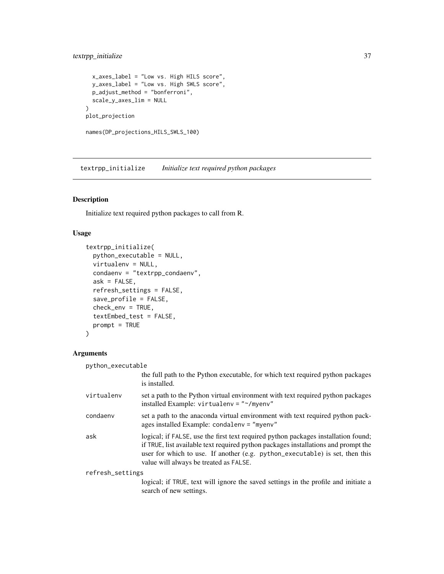### <span id="page-36-0"></span>textrpp\_initialize 37

```
x_axes_label = "Low vs. High HILS score",
  y_axes_label = "Low vs. High SWLS score",
 p_adjust_method = "bonferroni",
 scale_y_axes_lim = NULL
)
plot_projection
```

```
names(DP_projections_HILS_SWLS_100)
```
textrpp\_initialize *Initialize text required python packages*

### Description

Initialize text required python packages to call from R.

### Usage

```
textrpp_initialize(
 python_executable = NULL,
 virtualenv = NULL,
 condaenv = "textrpp_condaenv",
 ask = FALSE,refresh_settings = FALSE,
  save_profile = FALSE,
 check_env = TRUE,
  textEmbed_test = FALSE,
 prompt = TRUE
)
```
#### Arguments

| python_executable |                                                                                                                                                                                                                                                                                                    |
|-------------------|----------------------------------------------------------------------------------------------------------------------------------------------------------------------------------------------------------------------------------------------------------------------------------------------------|
|                   | the full path to the Python executable, for which text required python packages<br>is installed.                                                                                                                                                                                                   |
| virtualenv        | set a path to the Python virtual environment with text required python packages<br>installed Example: virtualenv = "~/myenv"                                                                                                                                                                       |
| condaenv          | set a path to the anaconda virtual environment with text required python pack-<br>ages installed Example: condalenv = "myenv"                                                                                                                                                                      |
| ask               | logical; if FALSE, use the first text required python packages installation found;<br>if TRUE, list available text required python packages installations and prompt the<br>user for which to use. If another (e.g. python_executable) is set, then this<br>value will always be treated as FALSE. |
| refresh_settings  |                                                                                                                                                                                                                                                                                                    |
|                   | logical; if TRUE, text will ignore the saved settings in the profile and initiate a<br>search of new settings.                                                                                                                                                                                     |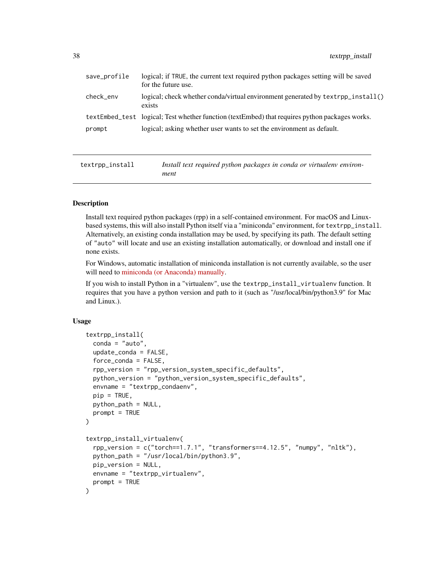<span id="page-37-0"></span>

| save_profile | logical; if TRUE, the current text required python packages setting will be saved<br>for the future use. |
|--------------|----------------------------------------------------------------------------------------------------------|
| check_env    | logical; check whether conda/virtual environment generated by textrpp_install()<br>exists                |
|              | textEmbed_test logical; Test whether function (textEmbed) that requires python packages works.           |
| prompt       | logical; asking whether user wants to set the environment as default.                                    |
|              |                                                                                                          |

textrpp\_install *Install text required python packages in conda or virtualenv environment*

### **Description**

Install text required python packages (rpp) in a self-contained environment. For macOS and Linuxbased systems, this will also install Python itself via a "miniconda" environment, for textrpp\_install. Alternatively, an existing conda installation may be used, by specifying its path. The default setting of "auto" will locate and use an existing installation automatically, or download and install one if none exists.

For Windows, automatic installation of miniconda installation is not currently available, so the user will need to [miniconda \(or Anaconda\) manually.](https://conda.io/projects/conda/en/latest/user-guide/install/index.html)

If you wish to install Python in a "virtualenv", use the textrpp\_install\_virtualenv function. It requires that you have a python version and path to it (such as "/usr/local/bin/python3.9" for Mac and Linux.).

#### Usage

```
textrpp_install(
  \text{conda} = "auto",update_conda = FALSE,
  force_conda = FALSE,
  rpp_version = "rpp_version_system_specific_defaults",
  python_version = "python_version_system_specific_defaults",
  envname = "textrpp_condaenv",
  pip = TRUE,python_path = NULL,
  prompt = TRUE)
textrpp_install_virtualenv(
  rpp_version = c("torch==1.7.1", "transformers==4.12.5", "numpy", "nltk"),
  python_path = "/usr/local/bin/python3.9",
 pip_version = NULL,
 envname = "textrpp_virtualenv",
  prompt = TRUE)
```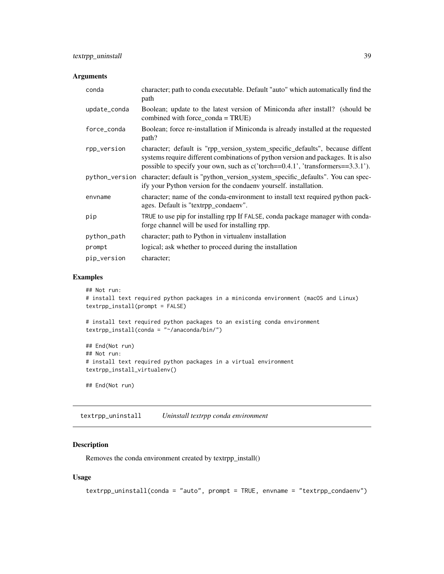#### <span id="page-38-0"></span>Arguments

| conda          | character; path to conda executable. Default "auto" which automatically find the<br>path                                                                                                                                                              |
|----------------|-------------------------------------------------------------------------------------------------------------------------------------------------------------------------------------------------------------------------------------------------------|
| update_conda   | Boolean; update to the latest version of Miniconda after install? (should be<br>combined with force_conda = $TRUE$ )                                                                                                                                  |
| force conda    | Boolean; force re-installation if Miniconda is already installed at the requested<br>path?                                                                                                                                                            |
| rpp_version    | character; default is "rpp_version_system_specific_defaults", because diffent<br>systems require different combinations of python version and packages. It is also<br>possible to specify your own, such as c('torch==0.4.1', 'transformers==3.3.1'). |
| python_version | character; default is "python_version_system_specific_defaults". You can spec-<br>ify your Python version for the condaeny yourself. installation.                                                                                                    |
| envname        | character; name of the conda-environment to install text required python pack-<br>ages. Default is "textrpp_condaenv".                                                                                                                                |
| pip            | TRUE to use pip for installing rpp If FALSE, conda package manager with conda-<br>forge channel will be used for installing rpp.                                                                                                                      |
| python_path    | character; path to Python in virtualenv installation                                                                                                                                                                                                  |
| prompt         | logical; ask whether to proceed during the installation                                                                                                                                                                                               |
| pip_version    | character;                                                                                                                                                                                                                                            |

### Examples

```
## Not run:
# install text required python packages in a miniconda environment (macOS and Linux)
textrpp_install(prompt = FALSE)
```

```
# install text required python packages to an existing conda environment
textrpp_install(conda = "~/anaconda/bin/")
```

```
## End(Not run)
## Not run:
# install text required python packages in a virtual environment
textrpp_install_virtualenv()
```

```
## End(Not run)
```
textrpp\_uninstall *Uninstall textrpp conda environment*

### Description

Removes the conda environment created by textrpp\_install()

### Usage

```
textrpp_uninstall(conda = "auto", prompt = TRUE, envname = "textrpp_condaenv")
```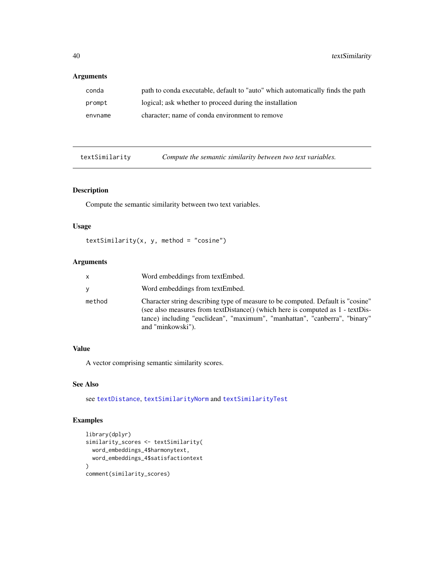#### <span id="page-39-0"></span>Arguments

| conda   | path to conda executable, default to "auto" which automatically finds the path |
|---------|--------------------------------------------------------------------------------|
| prompt  | logical; ask whether to proceed during the installation                        |
| envname | character; name of conda environment to remove                                 |

<span id="page-39-1"></span>textSimilarity *Compute the semantic similarity between two text variables.*

### Description

Compute the semantic similarity between two text variables.

#### Usage

```
textSimilarity(x, y, method = "cosine")
```
#### Arguments

| x      | Word embeddings from textEmbed.                                                                                                                                                                                                                                      |
|--------|----------------------------------------------------------------------------------------------------------------------------------------------------------------------------------------------------------------------------------------------------------------------|
| ٧      | Word embeddings from textEmbed.                                                                                                                                                                                                                                      |
| method | Character string describing type of measure to be computed. Default is "cosine"<br>(see also measures from textDistance() (which here is computed as 1 - textDis-<br>tance) including "euclidean", "maximum", "manhattan", "canberra", "binary"<br>and "minkowski"). |

### Value

A vector comprising semantic similarity scores.

#### See Also

see [textDistance](#page-11-1), [textSimilarityNorm](#page-40-1) and [textSimilarityTest](#page-41-1)

### Examples

```
library(dplyr)
similarity_scores <- textSimilarity(
  word_embeddings_4$harmonytext,
  word_embeddings_4$satisfactiontext
)
comment(similarity_scores)
```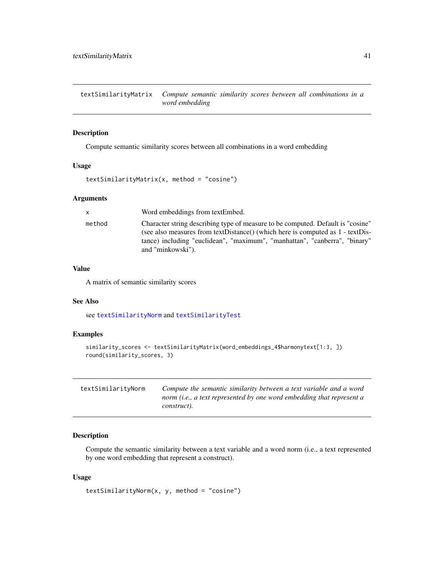<span id="page-40-0"></span>textSimilarityMatrix *Compute semantic similarity scores between all combinations in a word embedding*

### Description

Compute semantic similarity scores between all combinations in a word embedding

#### Usage

```
textSimilarityMatrix(x, method = "cosine")
```
#### Arguments

| $\mathsf{x}$ | Word embeddings from textEmbed.                                                                                                                                                                                                                                     |
|--------------|---------------------------------------------------------------------------------------------------------------------------------------------------------------------------------------------------------------------------------------------------------------------|
| method       | Character string describing type of measure to be computed. Default is "cosine"<br>(see also measures from textDistance) (which here is computed as 1 - textDis-<br>tance) including "euclidean", "maximum", "manhattan", "canberra", "binary"<br>and "minkowski"). |

### Value

A matrix of semantic similarity scores

#### See Also

see [textSimilarityNorm](#page-40-1) and [textSimilarityTest](#page-41-1)

### Examples

```
similarity_scores <- textSimilarityMatrix(word_embeddings_4$harmonytext[1:3, ])
round(similarity_scores, 3)
```
<span id="page-40-1"></span>

| textSimilarityNorm | Compute the semantic similarity between a text variable and a word            |
|--------------------|-------------------------------------------------------------------------------|
|                    | norm ( <i>i.e., a text represented by one word embedding that represent a</i> |
|                    | construct).                                                                   |

#### Description

Compute the semantic similarity between a text variable and a word norm (i.e., a text represented by one word embedding that represent a construct).

#### Usage

```
textSimilarityNorm(x, y, method = "cosine")
```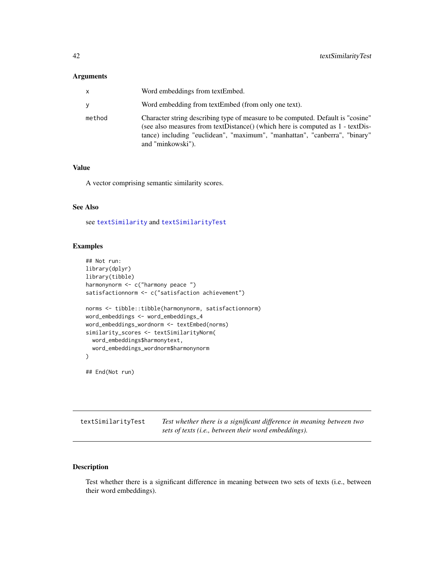### <span id="page-41-0"></span>Arguments

| x      | Word embeddings from textEmbed.                                                                                                                                                                                                                                        |
|--------|------------------------------------------------------------------------------------------------------------------------------------------------------------------------------------------------------------------------------------------------------------------------|
| ٧      | Word embedding from textEmbed (from only one text).                                                                                                                                                                                                                    |
| method | Character string describing type of measure to be computed. Default is "cosine"<br>(see also measures from textDistance() (which here is computed as $1$ - textDis-<br>tance) including "euclidean", "maximum", "manhattan", "canberra", "binary"<br>and "minkowski"). |

#### Value

A vector comprising semantic similarity scores.

### See Also

see [textSimilarity](#page-39-1) and [textSimilarityTest](#page-41-1)

#### Examples

```
## Not run:
library(dplyr)
library(tibble)
harmonynorm <- c("harmony peace ")
satisfactionnorm <- c("satisfaction achievement")
norms <- tibble::tibble(harmonynorm, satisfactionnorm)
word_embeddings <- word_embeddings_4
word_embeddings_wordnorm <- textEmbed(norms)
similarity_scores <- textSimilarityNorm(
  word_embeddings$harmonytext,
  word_embeddings_wordnorm$harmonynorm
\mathcal{L}## End(Not run)
```
<span id="page-41-1"></span>textSimilarityTest *Test whether there is a significant difference in meaning between two*

*sets of texts (i.e., between their word embeddings).*

### Description

Test whether there is a significant difference in meaning between two sets of texts (i.e., between their word embeddings).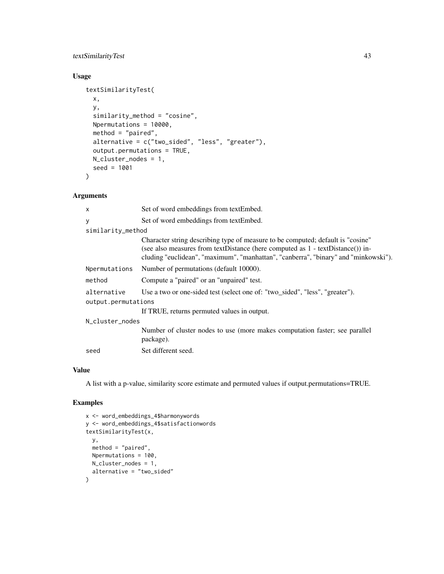### textSimilarityTest 43

### Usage

```
textSimilarityTest(
 x,
 y,
  similarity_method = "cosine",
 Npermutations = 10000,
 method = "paired",
 alternative = c("two_sided", "less", "greater"),
 output.permutations = TRUE,
 N_cluster_nodes = 1,
  seed = 1001
)
```
### Arguments

| $\times$            | Set of word embeddings from textEmbed.                                                                                                                                                                                                                     |  |
|---------------------|------------------------------------------------------------------------------------------------------------------------------------------------------------------------------------------------------------------------------------------------------------|--|
| У                   | Set of word embeddings from textEmbed.                                                                                                                                                                                                                     |  |
| similarity_method   |                                                                                                                                                                                                                                                            |  |
|                     | Character string describing type of measure to be computed; default is "cosine"<br>(see also measures from textDistance (here computed as $1$ - textDistance()) in-<br>cluding "euclidean", "maximum", "manhattan", "canberra", "binary" and "minkowski"). |  |
| Npermutations       | Number of permutations (default 10000).                                                                                                                                                                                                                    |  |
| method              | Compute a "paired" or an "unpaired" test.                                                                                                                                                                                                                  |  |
| alternative         | Use a two or one-sided test (select one of: "two_sided", "less", "greater").                                                                                                                                                                               |  |
| output.permutations |                                                                                                                                                                                                                                                            |  |
|                     | If TRUE, returns permuted values in output.                                                                                                                                                                                                                |  |
| N_cluster_nodes     |                                                                                                                                                                                                                                                            |  |
|                     | Number of cluster nodes to use (more makes computation faster; see parallel<br>package).                                                                                                                                                                   |  |
| seed                | Set different seed.                                                                                                                                                                                                                                        |  |

### Value

A list with a p-value, similarity score estimate and permuted values if output.permutations=TRUE.

### Examples

```
x <- word_embeddings_4$harmonywords
y <- word_embeddings_4$satisfactionwords
textSimilarityTest(x,
  y,
 method = "paired",
  Npermutations = 100,
  N_cluster_nodes = 1,
  alternative = "two_sided"
)
```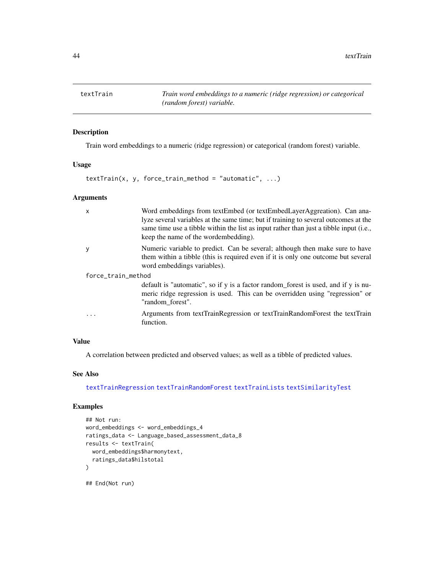<span id="page-43-1"></span><span id="page-43-0"></span>textTrain *Train word embeddings to a numeric (ridge regression) or categorical (random forest) variable.*

### Description

Train word embeddings to a numeric (ridge regression) or categorical (random forest) variable.

#### Usage

 $textTrain(x, y, force_train_method = "automatic", ...)$ 

### Arguments

| $\mathsf{x}$       | Word embeddings from textEmbed (or textEmbedLayerAggreation). Can ana-<br>lyze several variables at the same time; but if training to several outcomes at the<br>same time use a tibble within the list as input rather than just a tibble input (i.e.,<br>keep the name of the wordembedding). |  |
|--------------------|-------------------------------------------------------------------------------------------------------------------------------------------------------------------------------------------------------------------------------------------------------------------------------------------------|--|
| y                  | Numeric variable to predict. Can be several; although then make sure to have<br>them within a tibble (this is required even if it is only one outcome but several<br>word embeddings variables).                                                                                                |  |
| force_train_method |                                                                                                                                                                                                                                                                                                 |  |
|                    | default is "automatic", so if y is a factor random_forest is used, and if y is nu-<br>meric ridge regression is used. This can be overridden using "regression" or<br>"random_forest".                                                                                                          |  |
|                    | Arguments from textTrainRegression or textTrainRandomForest the textTrain<br>function.                                                                                                                                                                                                          |  |

### Value

A correlation between predicted and observed values; as well as a tibble of predicted values.

### See Also

[textTrainRegression](#page-48-1) [textTrainRandomForest](#page-45-1) [textTrainLists](#page-44-1) [textSimilarityTest](#page-41-1)

### Examples

```
## Not run:
word_embeddings <- word_embeddings_4
ratings_data <- Language_based_assessment_data_8
results <- textTrain(
  word_embeddings$harmonytext,
  ratings_data$hilstotal
)
```
## End(Not run)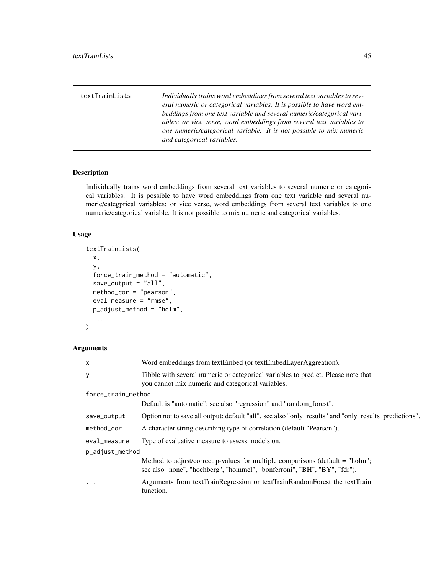<span id="page-44-1"></span><span id="page-44-0"></span>textTrainLists *Individually trains word embeddings from several text variables to several numeric or categorical variables. It is possible to have word embeddings from one text variable and several numeric/categprical variables; or vice verse, word embeddings from several text variables to one numeric/categorical variable. It is not possible to mix numeric and categorical variables.*

### Description

Individually trains word embeddings from several text variables to several numeric or categorical variables. It is possible to have word embeddings from one text variable and several numeric/categprical variables; or vice verse, word embeddings from several text variables to one numeric/categorical variable. It is not possible to mix numeric and categorical variables.

#### Usage

```
textTrainLists(
  x,
 y,
  force_train_method = "automatic",
  save_output = "all",
 method_cor = "pearson",
 eval_measure = "rmse",
 p_adjust_method = "holm",
  ...
)
```
#### Arguments

| X                  | Word embeddings from textEmbed (or textEmbedLayerAggreation).                                                                                               |  |
|--------------------|-------------------------------------------------------------------------------------------------------------------------------------------------------------|--|
| у                  | Tibble with several numeric or categorical variables to predict. Please note that<br>you cannot mix numeric and categorical variables.                      |  |
| force_train_method |                                                                                                                                                             |  |
|                    | Default is "automatic"; see also "regression" and "random_forest".                                                                                          |  |
| save_output        | Option not to save all output; default "all". see also "only_results" and "only_results_predictions".                                                       |  |
| method_cor         | A character string describing type of correlation (default "Pearson").                                                                                      |  |
| eval_measure       | Type of evaluative measure to assess models on.                                                                                                             |  |
| p_adjust_method    |                                                                                                                                                             |  |
|                    | Method to adjust/correct p-values for multiple comparisons (default $=$ "holm";<br>see also "none", "hochberg", "hommel", "bonferroni", "BH", "BY", "fdr"). |  |
| .                  | Arguments from textTrainRegression or textTrainRandomForest the textTrain<br>function.                                                                      |  |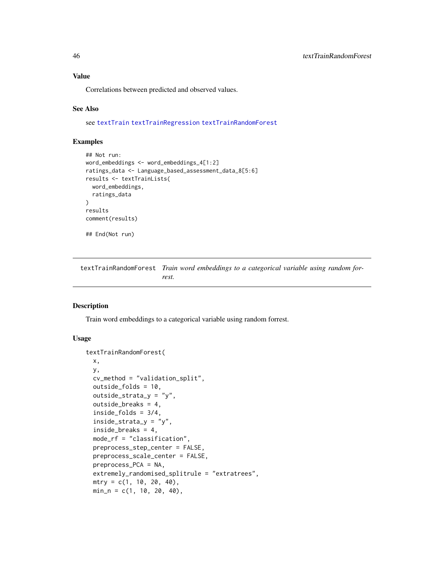#### <span id="page-45-0"></span>Value

Correlations between predicted and observed values.

#### See Also

see [textTrain](#page-43-1) [textTrainRegression](#page-48-1) [textTrainRandomForest](#page-45-1)

#### Examples

```
## Not run:
word_embeddings <- word_embeddings_4[1:2]
ratings_data <- Language_based_assessment_data_8[5:6]
results <- textTrainLists(
  word_embeddings,
  ratings_data
\lambdaresults
comment(results)
## End(Not run)
```
<span id="page-45-1"></span>textTrainRandomForest *Train word embeddings to a categorical variable using random forrest.*

#### Description

Train word embeddings to a categorical variable using random forrest.

### Usage

```
textTrainRandomForest(
  x,
 y,
  cv_method = "validation_split",
 outside_folds = 10,
  outside_strata_y = "y",
 outside_breaks = 4,
  inside_folds = 3/4,
  inside\_strata_y = "y",inside_breaks = 4,
 mode_rf = "classification",
 preprocess_step_center = FALSE,
 preprocess_scale_center = FALSE,
 preprocess_PCA = NA,
  extremely_randomised_splitrule = "extratrees",
 mtry = c(1, 10, 20, 40),
 min_n = c(1, 10, 20, 40),
```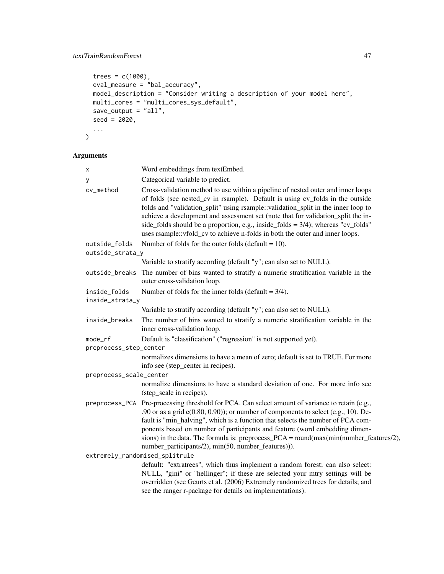```
trees = c(1000),
 eval_measure = "bal_accuracy",
 model_description = "Consider writing a description of your model here",
 multi_cores = "multi_cores_sys_default",
 save_output = "all",
 seed = 2020,
  ...
\mathcal{L}
```
### Arguments

| х                       | Word embeddings from textEmbed.                                                                                                                                                                                                                                                                                                                                                                                                                                                                                   |  |
|-------------------------|-------------------------------------------------------------------------------------------------------------------------------------------------------------------------------------------------------------------------------------------------------------------------------------------------------------------------------------------------------------------------------------------------------------------------------------------------------------------------------------------------------------------|--|
| у                       | Categorical variable to predict.                                                                                                                                                                                                                                                                                                                                                                                                                                                                                  |  |
| cv_method               | Cross-validation method to use within a pipeline of nested outer and inner loops<br>of folds (see nested_cv in rsample). Default is using cv_folds in the outside<br>folds and "validation_split" using rsample::validation_split in the inner loop to<br>achieve a development and assessment set (note that for validation_split the in-<br>side_folds should be a proportion, e.g., inside_folds = $3/4$ ); whereas "cv_folds"<br>uses rsample::vfold_cv to achieve n-folds in both the outer and inner loops. |  |
| outside_folds           | Number of folds for the outer folds (default = $10$ ).                                                                                                                                                                                                                                                                                                                                                                                                                                                            |  |
| outside_strata_y        |                                                                                                                                                                                                                                                                                                                                                                                                                                                                                                                   |  |
|                         | Variable to stratify according (default "y"; can also set to NULL).                                                                                                                                                                                                                                                                                                                                                                                                                                               |  |
| outside_breaks          | The number of bins wanted to stratify a numeric stratification variable in the<br>outer cross-validation loop.                                                                                                                                                                                                                                                                                                                                                                                                    |  |
| inside_folds            | Number of folds for the inner folds (default $= 3/4$ ).                                                                                                                                                                                                                                                                                                                                                                                                                                                           |  |
| inside_strata_y         |                                                                                                                                                                                                                                                                                                                                                                                                                                                                                                                   |  |
|                         | Variable to stratify according (default "y"; can also set to NULL).                                                                                                                                                                                                                                                                                                                                                                                                                                               |  |
| inside_breaks           | The number of bins wanted to stratify a numeric stratification variable in the<br>inner cross-validation loop.                                                                                                                                                                                                                                                                                                                                                                                                    |  |
| mode_rf                 | Default is "classification" ("regression" is not supported yet).                                                                                                                                                                                                                                                                                                                                                                                                                                                  |  |
| preprocess_step_center  |                                                                                                                                                                                                                                                                                                                                                                                                                                                                                                                   |  |
|                         | normalizes dimensions to have a mean of zero; default is set to TRUE. For more<br>info see (step_center in recipes).                                                                                                                                                                                                                                                                                                                                                                                              |  |
| preprocess_scale_center |                                                                                                                                                                                                                                                                                                                                                                                                                                                                                                                   |  |
|                         | normalize dimensions to have a standard deviation of one. For more info see<br>(step_scale in recipes).                                                                                                                                                                                                                                                                                                                                                                                                           |  |
|                         | preprocess_PCA Pre-processing threshold for PCA. Can select amount of variance to retain (e.g.,<br>.90 or as a grid $c(0.80, 0.90)$ ; or number of components to select (e.g., 10). De-<br>fault is "min_halving", which is a function that selects the number of PCA com-<br>ponents based on number of participants and feature (word embedding dimen-<br>sions) in the data. The formula is: preprocess_PCA = $round(max(min(number_features/2),$<br>number_participants/2), min(50, number_features))).       |  |
|                         | extremely_randomised_splitrule                                                                                                                                                                                                                                                                                                                                                                                                                                                                                    |  |
|                         | default: "extratrees", which thus implement a random forest; can also select:<br>NULL, "gini" or "hellinger"; if these are selected your mtry settings will be<br>overridden (see Geurts et al. (2006) Extremely randomized trees for details; and<br>see the ranger r-package for details on implementations).                                                                                                                                                                                                   |  |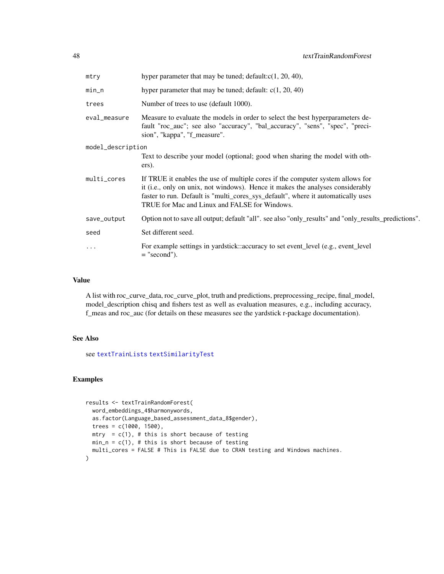<span id="page-47-0"></span>

| mtry              | hyper parameter that may be tuned; default: $c(1, 20, 40)$ ,                                                                                                                                                                                                                                          |  |
|-------------------|-------------------------------------------------------------------------------------------------------------------------------------------------------------------------------------------------------------------------------------------------------------------------------------------------------|--|
| $min_n$           | hyper parameter that may be tuned; default: $c(1, 20, 40)$                                                                                                                                                                                                                                            |  |
| trees             | Number of trees to use (default 1000).                                                                                                                                                                                                                                                                |  |
| eval_measure      | Measure to evaluate the models in order to select the best hyperparameters de-<br>fault "roc_auc"; see also "accuracy", "bal_accuracy", "sens", "spec", "preci-<br>sion", "kappa", "f_measure".                                                                                                       |  |
| model_description |                                                                                                                                                                                                                                                                                                       |  |
|                   | Text to describe your model (optional; good when sharing the model with oth-<br>ers).                                                                                                                                                                                                                 |  |
| multi_cores       | If TRUE it enables the use of multiple cores if the computer system allows for<br>it (i.e., only on unix, not windows). Hence it makes the analyses considerably<br>faster to run. Default is "multi_cores_sys_default", where it automatically uses<br>TRUE for Mac and Linux and FALSE for Windows. |  |
| save_output       | Option not to save all output; default "all". see also "only_results" and "only_results_predictions".                                                                                                                                                                                                 |  |
| seed              | Set different seed.                                                                                                                                                                                                                                                                                   |  |
| $\cdots$          | For example settings in yardstick: accuracy to set event_level (e.g., event_level<br>$=$ "second").                                                                                                                                                                                                   |  |

### Value

A list with roc\_curve\_data, roc\_curve\_plot, truth and predictions, preprocessing\_recipe, final\_model, model\_description chisq and fishers test as well as evaluation measures, e.g., including accuracy, f\_meas and roc\_auc (for details on these measures see the yardstick r-package documentation).

### See Also

see [textTrainLists](#page-44-1) [textSimilarityTest](#page-41-1)

### Examples

```
results <- textTrainRandomForest(
 word_embeddings_4$harmonywords,
 as.factor(Language_based_assessment_data_8$gender),
 trees = c(1000, 1500),mtry = c(1), # this is short because of testing
 min_n = c(1), # this is short because of testing
 multi_cores = FALSE # This is FALSE due to CRAN testing and Windows machines.
\mathcal{L}
```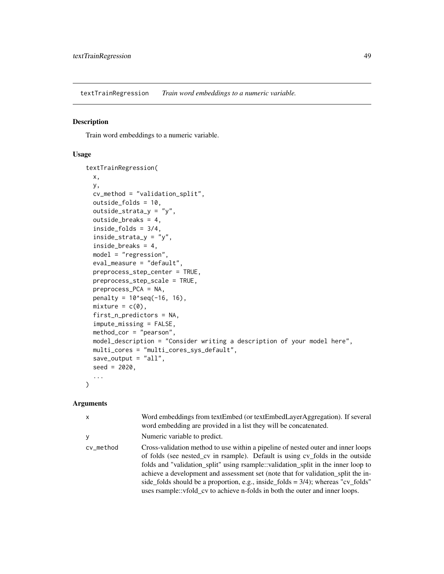<span id="page-48-1"></span><span id="page-48-0"></span>textTrainRegression *Train word embeddings to a numeric variable.*

#### Description

Train word embeddings to a numeric variable.

#### Usage

```
textTrainRegression(
 x,
 y,
 cv_method = "validation_split",
  outside_folds = 10,
 outside_strata_y = "y",
 outside_breaks = 4,
  inside_folds = 3/4,
  inside_strata_y = "y",
  inside_breaks = 4,
 model = "regression",
  eval_measure = "default",
 preprocess_step_center = TRUE,
 preprocess_step_scale = TRUE,
 preprocess_PCA = NA,
 penalty = 10^seq(-16, 16),
 mixture = c(0),
  first_n_predictors = NA,
  impute_missing = FALSE,
 method_cor = "pearson",
 model_description = "Consider writing a description of your model here",
 multi_cores = "multi_cores_sys_default",
  save_output = "all",
  seed = 2020,...
\mathcal{L}
```
#### Arguments

| X         | Word embeddings from textEmbed (or textEmbedLayerAggregation). If several<br>word embedding are provided in a list they will be concatenated.                                                                                                                                                                                                                                                                                                                                                                     |
|-----------|-------------------------------------------------------------------------------------------------------------------------------------------------------------------------------------------------------------------------------------------------------------------------------------------------------------------------------------------------------------------------------------------------------------------------------------------------------------------------------------------------------------------|
| V         | Numeric variable to predict.                                                                                                                                                                                                                                                                                                                                                                                                                                                                                      |
| cv_method | Cross-validation method to use within a pipeline of nested outer and inner loops<br>of folds (see nested_cv in rsample). Default is using cv_folds in the outside<br>folds and "validation_split" using rsample::validation_split in the inner loop to<br>achieve a development and assessment set (note that for validation_split the in-<br>side_folds should be a proportion, e.g., inside_folds = $3/4$ ); whereas "cv_folds"<br>uses rsample::vfold_cv to achieve n-folds in both the outer and inner loops. |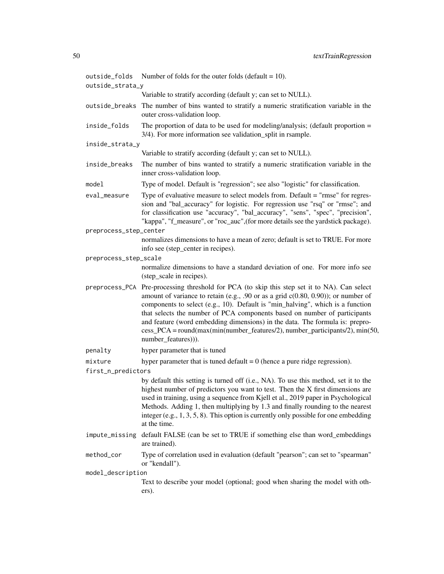| outside_folds          | Number of folds for the outer folds (default = $10$ ).                                                                                                                                                                                                                                                                                                                                                                                                                                                                                     |  |
|------------------------|--------------------------------------------------------------------------------------------------------------------------------------------------------------------------------------------------------------------------------------------------------------------------------------------------------------------------------------------------------------------------------------------------------------------------------------------------------------------------------------------------------------------------------------------|--|
| outside_strata_y       |                                                                                                                                                                                                                                                                                                                                                                                                                                                                                                                                            |  |
|                        | Variable to stratify according (default y; can set to NULL).                                                                                                                                                                                                                                                                                                                                                                                                                                                                               |  |
| outside_breaks         | The number of bins wanted to stratify a numeric stratification variable in the<br>outer cross-validation loop.                                                                                                                                                                                                                                                                                                                                                                                                                             |  |
| inside_folds           | The proportion of data to be used for modeling/analysis; (default proportion $=$<br>3/4). For more information see validation_split in rsample.                                                                                                                                                                                                                                                                                                                                                                                            |  |
| inside_strata_y        |                                                                                                                                                                                                                                                                                                                                                                                                                                                                                                                                            |  |
|                        | Variable to stratify according (default y; can set to NULL).                                                                                                                                                                                                                                                                                                                                                                                                                                                                               |  |
| inside_breaks          | The number of bins wanted to stratify a numeric stratification variable in the<br>inner cross-validation loop.                                                                                                                                                                                                                                                                                                                                                                                                                             |  |
| model                  | Type of model. Default is "regression"; see also "logistic" for classification.                                                                                                                                                                                                                                                                                                                                                                                                                                                            |  |
| eval_measure           | Type of evaluative measure to select models from. Default = "rmse" for regres-<br>sion and "bal_accuracy" for logistic. For regression use "rsq" or "rmse"; and<br>for classification use "accuracy", "bal_accuracy", "sens", "spec", "precision",<br>"kappa", "f_measure", or "roc_auc", (for more details see the yardstick package).                                                                                                                                                                                                    |  |
| preprocess_step_center |                                                                                                                                                                                                                                                                                                                                                                                                                                                                                                                                            |  |
|                        | normalizes dimensions to have a mean of zero; default is set to TRUE. For more<br>info see (step_center in recipes).                                                                                                                                                                                                                                                                                                                                                                                                                       |  |
| preprocess_step_scale  |                                                                                                                                                                                                                                                                                                                                                                                                                                                                                                                                            |  |
|                        | normalize dimensions to have a standard deviation of one. For more info see<br>(step_scale in recipes).                                                                                                                                                                                                                                                                                                                                                                                                                                    |  |
|                        | preprocess_PCA Pre-processing threshold for PCA (to skip this step set it to NA). Can select<br>amount of variance to retain (e.g., .90 or as a grid $c(0.80, 0.90)$ ); or number of<br>components to select (e.g., 10). Default is "min_halving", which is a function<br>that selects the number of PCA components based on number of participants<br>and feature (word embedding dimensions) in the data. The formula is: prepro-<br>cess_PCA = round(max(min(number_features/2), number_participants/2), min(50,<br>number_features))). |  |
| penalty                | hyper parameter that is tuned                                                                                                                                                                                                                                                                                                                                                                                                                                                                                                              |  |
| mixture                | hyper parameter that is tuned default $= 0$ (hence a pure ridge regression).                                                                                                                                                                                                                                                                                                                                                                                                                                                               |  |
| first_n_predictors     |                                                                                                                                                                                                                                                                                                                                                                                                                                                                                                                                            |  |
|                        | by default this setting is turned off (i.e., NA). To use this method, set it to the<br>highest number of predictors you want to test. Then the X first dimensions are<br>used in training, using a sequence from Kjell et al., 2019 paper in Psychological<br>Methods. Adding 1, then multiplying by 1.3 and finally rounding to the nearest<br>integer (e.g., $1, 3, 5, 8$ ). This option is currently only possible for one embedding<br>at the time.                                                                                    |  |
| impute_missing         | default FALSE (can be set to TRUE if something else than word_embeddings<br>are trained).                                                                                                                                                                                                                                                                                                                                                                                                                                                  |  |
| method_cor             | Type of correlation used in evaluation (default "pearson"; can set to "spearman"<br>or "kendall").                                                                                                                                                                                                                                                                                                                                                                                                                                         |  |
| model_description      |                                                                                                                                                                                                                                                                                                                                                                                                                                                                                                                                            |  |
|                        | Text to describe your model (optional; good when sharing the model with oth-<br>ers).                                                                                                                                                                                                                                                                                                                                                                                                                                                      |  |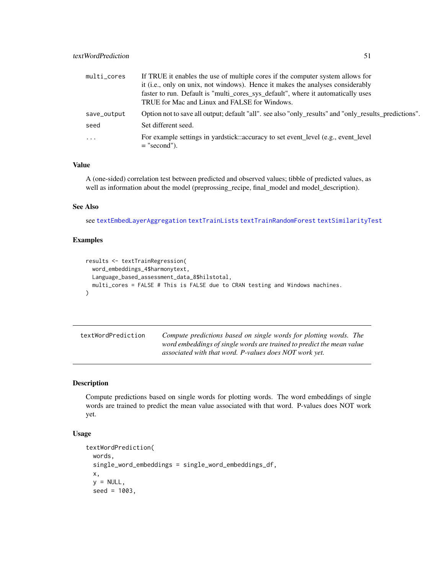<span id="page-50-0"></span>

| multi_cores | If TRUE it enables the use of multiple cores if the computer system allows for                        |  |
|-------------|-------------------------------------------------------------------------------------------------------|--|
|             | it (i.e., only on unix, not windows). Hence it makes the analyses considerably                        |  |
|             | faster to run. Default is "multi_cores_sys_default", where it automatically uses                      |  |
|             | TRUE for Mac and Linux and FALSE for Windows.                                                         |  |
| save_output | Option not to save all output; default "all". see also "only_results" and "only_results_predictions". |  |
| seed        | Set different seed.                                                                                   |  |
| $\ddots$    | For example settings in yardstick: accuracy to set event_level (e.g., event_level<br>$=$ "second").   |  |

### Value

A (one-sided) correlation test between predicted and observed values; tibble of predicted values, as well as information about the model (preprossing\_recipe, final\_model and model\_description).

### See Also

see [textEmbedLayerAggregation](#page-14-1) [textTrainLists](#page-44-1) [textTrainRandomForest](#page-45-1) [textSimilarityTest](#page-41-1)

### Examples

```
results <- textTrainRegression(
  word_embeddings_4$harmonytext,
 Language_based_assessment_data_8$hilstotal,
  multi_cores = FALSE # This is FALSE due to CRAN testing and Windows machines.
)
```

| textWordPrediction | Compute predictions based on single words for plotting words. The     |
|--------------------|-----------------------------------------------------------------------|
|                    | word embeddings of single words are trained to predict the mean value |
|                    | associated with that word. P-values does NOT work yet.                |

### Description

Compute predictions based on single words for plotting words. The word embeddings of single words are trained to predict the mean value associated with that word. P-values does NOT work yet.

#### Usage

```
textWordPrediction(
 words,
 single_word_embeddings = single_word_embeddings_df,
 x,
 y = NULL,seed = 1003,
```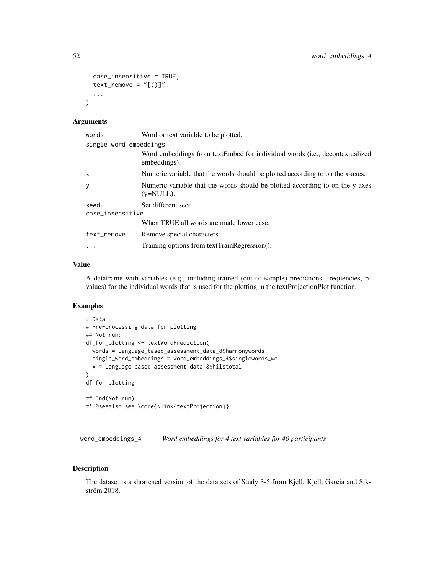```
case_insensitive = TRUE,
  text_remove = "<math>[()]</math>",
   ...
\mathcal{L}
```
### Arguments

| Word or text variable to be plotted.                                                         |  |
|----------------------------------------------------------------------------------------------|--|
| single_word_embeddings                                                                       |  |
| Word embeddings from textEmbed for individual words (i.e., decontextualized<br>embeddings).  |  |
| Numeric variable that the words should be plotted according to on the x-axes.                |  |
| Numeric variable that the words should be plotted according to on the y-axes<br>$(y=NULL)$ . |  |
| Set different seed.                                                                          |  |
| case_insensitive                                                                             |  |
| When TRUE all words are made lower case.                                                     |  |
| Remove special characters                                                                    |  |
| Training options from textTrainRegression().                                                 |  |
|                                                                                              |  |

### Value

A dataframe with variables (e.g., including trained (out of sample) predictions, frequencies, pvalues) for the individual words that is used for the plotting in the textProjectionPlot function.

### Examples

```
# Data
# Pre-processing data for plotting
## Not run:
df_for_plotting <- textWordPrediction(
  words = Language_based_assessment_data_8$harmonywords,
  single_word_embeddings = word_embeddings_4$singlewords_we,
  x = Language_based_assessment_data_8$hilstotal
)
df_for_plotting
## End(Not run)
#' @seealso see \code{\link{textProjection}}
```
word\_embeddings\_4 *Word embeddings for 4 text variables for 40 participants*

#### Description

The dataset is a shortened version of the data sets of Study 3-5 from Kjell, Kjell, Garcia and Sikström 2018.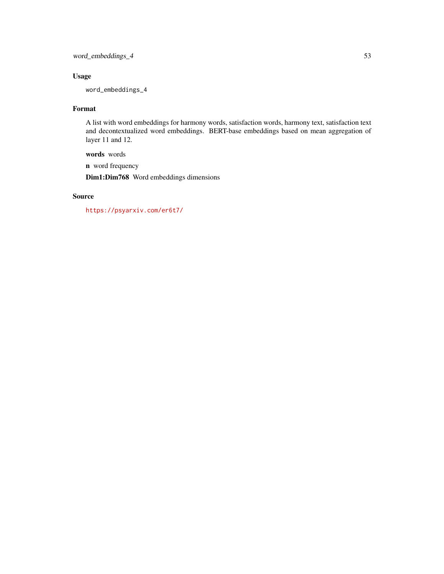word\_embeddings\_4 53

### Usage

word\_embeddings\_4

### Format

A list with word embeddings for harmony words, satisfaction words, harmony text, satisfaction text and decontextualized word embeddings. BERT-base embeddings based on mean aggregation of layer 11 and 12.

words words

n word frequency

Dim1:Dim768 Word embeddings dimensions

### Source

<https://psyarxiv.com/er6t7/>